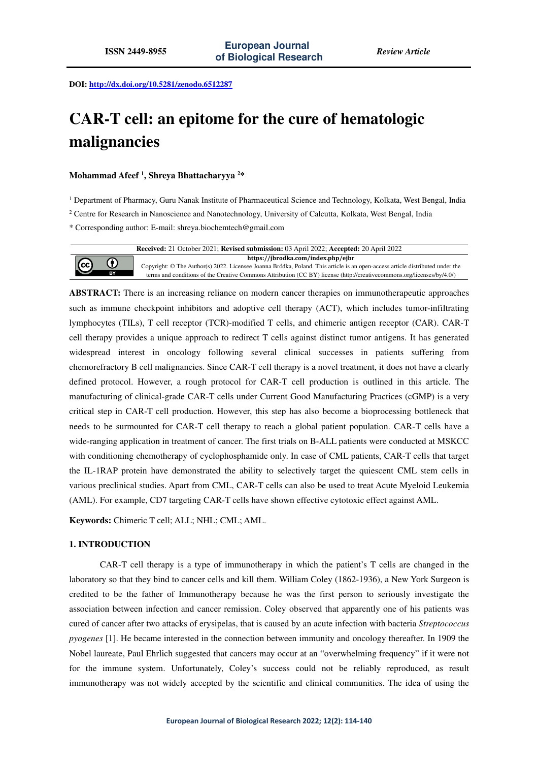**DOI: http://dx.doi.org/10.5281/zenodo.6512287** 

# **CAR-T cell: an epitome for the cure of hematologic malignancies**

## **Mohammad Afeef <sup>1</sup> , Shreya Bhattacharyya <sup>2</sup>\***

<sup>1</sup> Department of Pharmacy, Guru Nanak Institute of Pharmaceutical Science and Technology, Kolkata, West Bengal, India

<sup>2</sup> Centre for Research in Nanoscience and Nanotechnology, University of Calcutta, Kolkata, West Bengal, India

\* Corresponding author: E-mail: shreya.biochemtech@gmail.com



**ABSTRACT:** There is an increasing reliance on modern cancer therapies on immunotherapeutic approaches such as immune checkpoint inhibitors and adoptive cell therapy (ACT), which includes tumor-infiltrating lymphocytes (TILs), T cell receptor (TCR)-modified T cells, and chimeric antigen receptor (CAR). CAR-T cell therapy provides a unique approach to redirect T cells against distinct tumor antigens. It has generated widespread interest in oncology following several clinical successes in patients suffering from chemorefractory B cell malignancies. Since CAR-T cell therapy is a novel treatment, it does not have a clearly defined protocol. However, a rough protocol for CAR-T cell production is outlined in this article. The manufacturing of clinical-grade CAR-T cells under Current Good Manufacturing Practices (cGMP) is a very critical step in CAR-T cell production. However, this step has also become a bioprocessing bottleneck that needs to be surmounted for CAR-T cell therapy to reach a global patient population. CAR-T cells have a wide-ranging application in treatment of cancer. The first trials on B-ALL patients were conducted at MSKCC with conditioning chemotherapy of cyclophosphamide only. In case of CML patients, CAR-T cells that target the IL-1RAP protein have demonstrated the ability to selectively target the quiescent CML stem cells in various preclinical studies. Apart from CML, CAR-T cells can also be used to treat Acute Myeloid Leukemia (AML). For example, CD7 targeting CAR-T cells have shown effective cytotoxic effect against AML.

**Keywords:** Chimeric T cell; ALL; NHL; CML; AML.

## **1. INTRODUCTION**

CAR-T cell therapy is a type of immunotherapy in which the patient's T cells are changed in the laboratory so that they bind to cancer cells and kill them. William Coley (1862-1936), a New York Surgeon is credited to be the father of Immunotherapy because he was the first person to seriously investigate the association between infection and cancer remission. Coley observed that apparently one of his patients was cured of cancer after two attacks of erysipelas, that is caused by an acute infection with bacteria *Streptococcus pyogenes* [1]. He became interested in the connection between immunity and oncology thereafter. In 1909 the Nobel laureate, Paul Ehrlich suggested that cancers may occur at an "overwhelming frequency" if it were not for the immune system. Unfortunately, Coley's success could not be reliably reproduced, as result immunotherapy was not widely accepted by the scientific and clinical communities. The idea of using the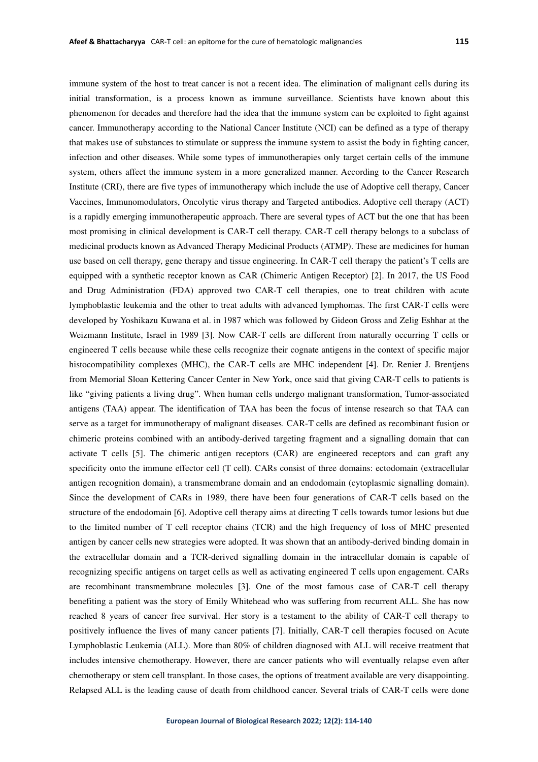immune system of the host to treat cancer is not a recent idea. The elimination of malignant cells during its initial transformation, is a process known as immune surveillance. Scientists have known about this phenomenon for decades and therefore had the idea that the immune system can be exploited to fight against cancer. Immunotherapy according to the National Cancer Institute (NCI) can be defined as a type of therapy that makes use of substances to stimulate or suppress the immune system to assist the body in fighting cancer, infection and other diseases. While some types of immunotherapies only target certain cells of the immune system, others affect the immune system in a more generalized manner. According to the Cancer Research Institute (CRI), there are five types of immunotherapy which include the use of Adoptive cell therapy, Cancer Vaccines, Immunomodulators, Oncolytic virus therapy and Targeted antibodies. Adoptive cell therapy (ACT) is a rapidly emerging immunotherapeutic approach. There are several types of ACT but the one that has been most promising in clinical development is CAR-T cell therapy. CAR-T cell therapy belongs to a subclass of medicinal products known as Advanced Therapy Medicinal Products (ATMP). These are medicines for human use based on cell therapy, gene therapy and tissue engineering. In CAR-T cell therapy the patient's T cells are equipped with a synthetic receptor known as CAR (Chimeric Antigen Receptor) [2]. In 2017, the US Food and Drug Administration (FDA) approved two CAR-T cell therapies, one to treat children with acute lymphoblastic leukemia and the other to treat adults with advanced lymphomas. The first CAR-T cells were developed by Yoshikazu Kuwana et al. in 1987 which was followed by Gideon Gross and Zelig Eshhar at the Weizmann Institute, Israel in 1989 [3]. Now CAR-T cells are different from naturally occurring T cells or engineered T cells because while these cells recognize their cognate antigens in the context of specific major histocompatibility complexes (MHC), the CAR-T cells are MHC independent [4]. Dr. Renier J. Brentjens from Memorial Sloan Kettering Cancer Center in New York, once said that giving CAR-T cells to patients is like "giving patients a living drug". When human cells undergo malignant transformation, Tumor-associated antigens (TAA) appear. The identification of TAA has been the focus of intense research so that TAA can serve as a target for immunotherapy of malignant diseases. CAR-T cells are defined as recombinant fusion or chimeric proteins combined with an antibody-derived targeting fragment and a signalling domain that can activate T cells [5]. The chimeric antigen receptors (CAR) are engineered receptors and can graft any specificity onto the immune effector cell (T cell). CARs consist of three domains: ectodomain (extracellular antigen recognition domain), a transmembrane domain and an endodomain (cytoplasmic signalling domain). Since the development of CARs in 1989, there have been four generations of CAR-T cells based on the structure of the endodomain [6]. Adoptive cell therapy aims at directing T cells towards tumor lesions but due to the limited number of T cell receptor chains (TCR) and the high frequency of loss of MHC presented antigen by cancer cells new strategies were adopted. It was shown that an antibody-derived binding domain in the extracellular domain and a TCR-derived signalling domain in the intracellular domain is capable of recognizing specific antigens on target cells as well as activating engineered T cells upon engagement. CARs are recombinant transmembrane molecules [3]. One of the most famous case of CAR-T cell therapy benefiting a patient was the story of Emily Whitehead who was suffering from recurrent ALL. She has now reached 8 years of cancer free survival. Her story is a testament to the ability of CAR-T cell therapy to positively influence the lives of many cancer patients [7]. Initially, CAR-T cell therapies focused on Acute Lymphoblastic Leukemia (ALL). More than 80% of children diagnosed with ALL will receive treatment that includes intensive chemotherapy. However, there are cancer patients who will eventually relapse even after chemotherapy or stem cell transplant. In those cases, the options of treatment available are very disappointing. Relapsed ALL is the leading cause of death from childhood cancer. Several trials of CAR-T cells were done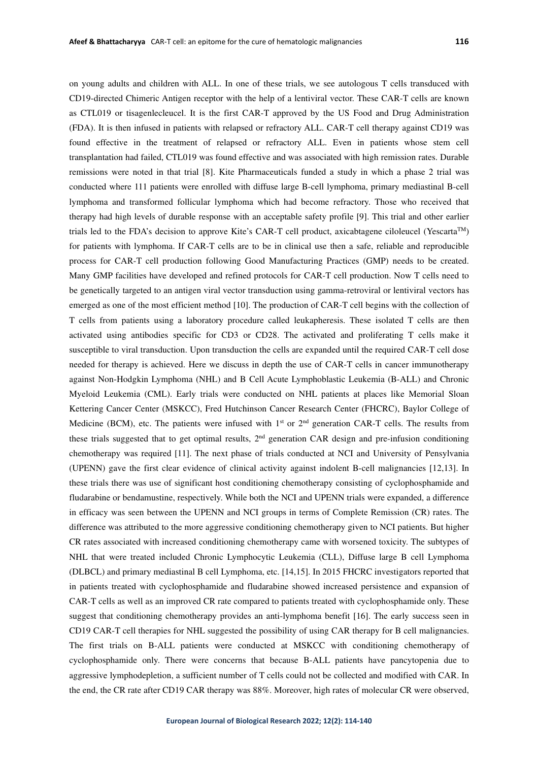on young adults and children with ALL. In one of these trials, we see autologous T cells transduced with CD19-directed Chimeric Antigen receptor with the help of a lentiviral vector. These CAR-T cells are known as CTL019 or tisagenlecleucel. It is the first CAR-T approved by the US Food and Drug Administration (FDA). It is then infused in patients with relapsed or refractory ALL. CAR-T cell therapy against CD19 was found effective in the treatment of relapsed or refractory ALL. Even in patients whose stem cell transplantation had failed, CTL019 was found effective and was associated with high remission rates. Durable remissions were noted in that trial [8]. Kite Pharmaceuticals funded a study in which a phase 2 trial was conducted where 111 patients were enrolled with diffuse large B-cell lymphoma, primary mediastinal B-cell lymphoma and transformed follicular lymphoma which had become refractory. Those who received that therapy had high levels of durable response with an acceptable safety profile [9]. This trial and other earlier trials led to the FDA's decision to approve Kite's CAR-T cell product, axicabtagene ciloleucel (Yescarta<sup>TM</sup>) for patients with lymphoma. If CAR-T cells are to be in clinical use then a safe, reliable and reproducible process for CAR-T cell production following Good Manufacturing Practices (GMP) needs to be created. Many GMP facilities have developed and refined protocols for CAR-T cell production. Now T cells need to be genetically targeted to an antigen viral vector transduction using gamma-retroviral or lentiviral vectors has emerged as one of the most efficient method [10]. The production of CAR-T cell begins with the collection of T cells from patients using a laboratory procedure called leukapheresis. These isolated T cells are then activated using antibodies specific for CD3 or CD28. The activated and proliferating T cells make it susceptible to viral transduction. Upon transduction the cells are expanded until the required CAR-T cell dose needed for therapy is achieved. Here we discuss in depth the use of CAR-T cells in cancer immunotherapy against Non-Hodgkin Lymphoma (NHL) and B Cell Acute Lymphoblastic Leukemia (B-ALL) and Chronic Myeloid Leukemia (CML). Early trials were conducted on NHL patients at places like Memorial Sloan Kettering Cancer Center (MSKCC), Fred Hutchinson Cancer Research Center (FHCRC), Baylor College of Medicine (BCM), etc. The patients were infused with  $1<sup>st</sup>$  or  $2<sup>nd</sup>$  generation CAR-T cells. The results from these trials suggested that to get optimal results,  $2<sup>nd</sup>$  generation CAR design and pre-infusion conditioning chemotherapy was required [11]. The next phase of trials conducted at NCI and University of Pensylvania (UPENN) gave the first clear evidence of clinical activity against indolent B-cell malignancies [12,13]. In these trials there was use of significant host conditioning chemotherapy consisting of cyclophosphamide and fludarabine or bendamustine, respectively. While both the NCI and UPENN trials were expanded, a difference in efficacy was seen between the UPENN and NCI groups in terms of Complete Remission (CR) rates. The difference was attributed to the more aggressive conditioning chemotherapy given to NCI patients. But higher CR rates associated with increased conditioning chemotherapy came with worsened toxicity. The subtypes of NHL that were treated included Chronic Lymphocytic Leukemia (CLL), Diffuse large B cell Lymphoma (DLBCL) and primary mediastinal B cell Lymphoma, etc. [14,15]. In 2015 FHCRC investigators reported that in patients treated with cyclophosphamide and fludarabine showed increased persistence and expansion of CAR-T cells as well as an improved CR rate compared to patients treated with cyclophosphamide only. These suggest that conditioning chemotherapy provides an anti-lymphoma benefit [16]. The early success seen in CD19 CAR-T cell therapies for NHL suggested the possibility of using CAR therapy for B cell malignancies. The first trials on B-ALL patients were conducted at MSKCC with conditioning chemotherapy of cyclophosphamide only. There were concerns that because B-ALL patients have pancytopenia due to aggressive lymphodepletion, a sufficient number of T cells could not be collected and modified with CAR. In the end, the CR rate after CD19 CAR therapy was 88%. Moreover, high rates of molecular CR were observed,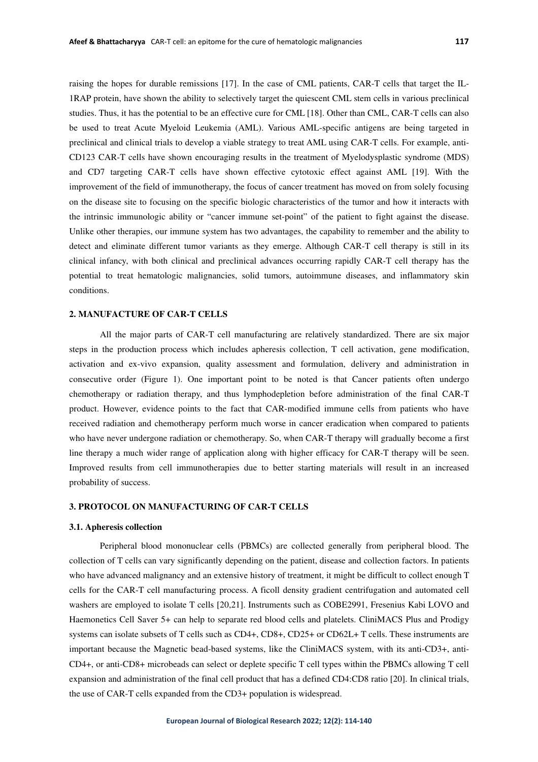raising the hopes for durable remissions [17]. In the case of CML patients, CAR-T cells that target the IL-1RAP protein, have shown the ability to selectively target the quiescent CML stem cells in various preclinical studies. Thus, it has the potential to be an effective cure for CML [18]. Other than CML, CAR-T cells can also be used to treat Acute Myeloid Leukemia (AML). Various AML-specific antigens are being targeted in preclinical and clinical trials to develop a viable strategy to treat AML using CAR-T cells. For example, anti-CD123 CAR-T cells have shown encouraging results in the treatment of Myelodysplastic syndrome (MDS) and CD7 targeting CAR-T cells have shown effective cytotoxic effect against AML [19]. With the improvement of the field of immunotherapy, the focus of cancer treatment has moved on from solely focusing on the disease site to focusing on the specific biologic characteristics of the tumor and how it interacts with the intrinsic immunologic ability or "cancer immune set-point" of the patient to fight against the disease. Unlike other therapies, our immune system has two advantages, the capability to remember and the ability to detect and eliminate different tumor variants as they emerge. Although CAR-T cell therapy is still in its clinical infancy, with both clinical and preclinical advances occurring rapidly CAR-T cell therapy has the potential to treat hematologic malignancies, solid tumors, autoimmune diseases, and inflammatory skin conditions.

## **2. MANUFACTURE OF CAR-T CELLS**

All the major parts of CAR-T cell manufacturing are relatively standardized. There are six major steps in the production process which includes apheresis collection, T cell activation, gene modification, activation and ex-vivo expansion, quality assessment and formulation, delivery and administration in consecutive order (Figure 1). One important point to be noted is that Cancer patients often undergo chemotherapy or radiation therapy, and thus lymphodepletion before administration of the final CAR-T product. However, evidence points to the fact that CAR-modified immune cells from patients who have received radiation and chemotherapy perform much worse in cancer eradication when compared to patients who have never undergone radiation or chemotherapy. So, when CAR-T therapy will gradually become a first line therapy a much wider range of application along with higher efficacy for CAR-T therapy will be seen. Improved results from cell immunotherapies due to better starting materials will result in an increased probability of success.

# **3. PROTOCOL ON MANUFACTURING OF CAR-T CELLS**

#### **3.1. Apheresis collection**

Peripheral blood mononuclear cells (PBMCs) are collected generally from peripheral blood. The collection of T cells can vary significantly depending on the patient, disease and collection factors. In patients who have advanced malignancy and an extensive history of treatment, it might be difficult to collect enough T cells for the CAR-T cell manufacturing process. A ficoll density gradient centrifugation and automated cell washers are employed to isolate T cells [20,21]. Instruments such as COBE2991, Fresenius Kabi LOVO and Haemonetics Cell Saver 5+ can help to separate red blood cells and platelets. CliniMACS Plus and Prodigy systems can isolate subsets of T cells such as CD4+, CD8+, CD25+ or CD62L+ T cells. These instruments are important because the Magnetic bead-based systems, like the CliniMACS system, with its anti-CD3+, anti-CD4+, or anti-CD8+ microbeads can select or deplete specific T cell types within the PBMCs allowing T cell expansion and administration of the final cell product that has a defined CD4:CD8 ratio [20]. In clinical trials, the use of CAR-T cells expanded from the CD3+ population is widespread.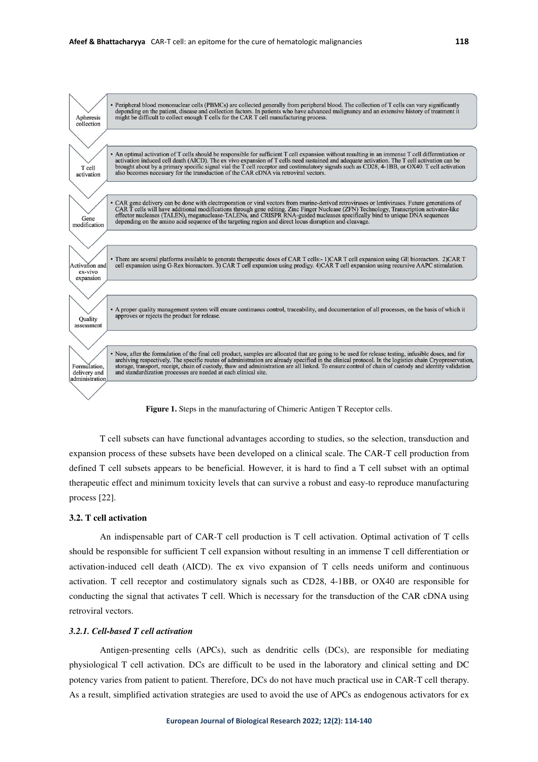

**Figure 1.** Steps in the manufacturing of Chimeric Antigen T Receptor cells.

T cell subsets can have functional advantages according to studies, so the selection, transduction and expansion process of these subsets have been developed on a clinical scale. The CAR-T cell production from defined T cell subsets appears to be beneficial. However, it is hard to find a T cell subset with an optimal therapeutic effect and minimum toxicity levels that can survive a robust and easy-to reproduce manufacturing process [22].

## **3.2. T cell activation**

An indispensable part of CAR-T cell production is T cell activation. Optimal activation of T cells should be responsible for sufficient T cell expansion without resulting in an immense T cell differentiation or activation-induced cell death (AICD). The ex vivo expansion of T cells needs uniform and continuous activation. T cell receptor and costimulatory signals such as CD28, 4-1BB, or OX40 are responsible for conducting the signal that activates T cell. Which is necessary for the transduction of the CAR cDNA using retroviral vectors.

## *3.2.1. Cell-based T cell activation*

Antigen-presenting cells (APCs), such as dendritic cells (DCs), are responsible for mediating physiological T cell activation. DCs are difficult to be used in the laboratory and clinical setting and DC potency varies from patient to patient. Therefore, DCs do not have much practical use in CAR-T cell therapy. As a result, simplified activation strategies are used to avoid the use of APCs as endogenous activators for ex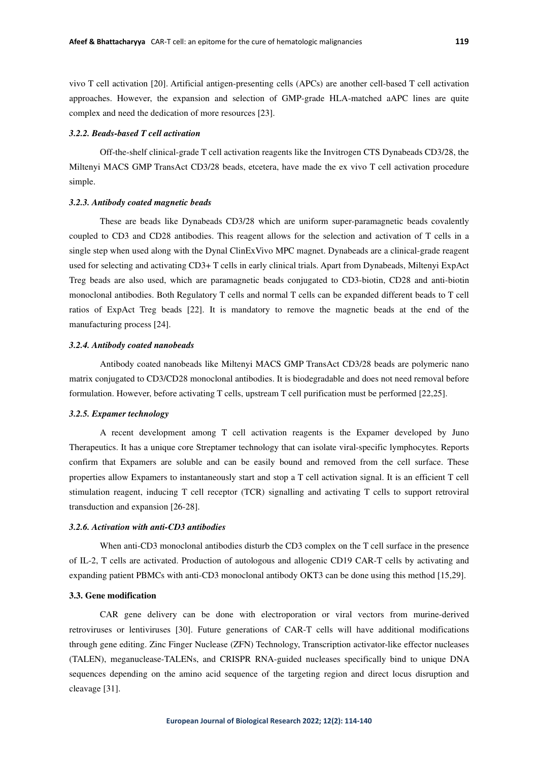vivo T cell activation [20]. Artificial antigen-presenting cells (APCs) are another cell-based T cell activation approaches. However, the expansion and selection of GMP-grade HLA-matched aAPC lines are quite complex and need the dedication of more resources [23].

## *3.2.2. Beads-based T cell activation*

Off-the-shelf clinical-grade T cell activation reagents like the Invitrogen CTS Dynabeads CD3/28, the Miltenyi MACS GMP TransAct CD3/28 beads, etcetera, have made the ex vivo T cell activation procedure simple.

## *3.2.3. Antibody coated magnetic beads*

These are beads like Dynabeads CD3/28 which are uniform super-paramagnetic beads covalently coupled to CD3 and CD28 antibodies. This reagent allows for the selection and activation of T cells in a single step when used along with the Dynal ClinExVivo MPC magnet. Dynabeads are a clinical-grade reagent used for selecting and activating CD3+ T cells in early clinical trials. Apart from Dynabeads, Miltenyi ExpAct Treg beads are also used, which are paramagnetic beads conjugated to CD3-biotin, CD28 and anti-biotin monoclonal antibodies. Both Regulatory T cells and normal T cells can be expanded different beads to T cell ratios of ExpAct Treg beads [22]. It is mandatory to remove the magnetic beads at the end of the manufacturing process [24].

## *3.2.4. Antibody coated nanobeads*

Antibody coated nanobeads like Miltenyi MACS GMP TransAct CD3/28 beads are polymeric nano matrix conjugated to CD3/CD28 monoclonal antibodies. It is biodegradable and does not need removal before formulation. However, before activating T cells, upstream T cell purification must be performed [22,25].

## *3.2.5. Expamer technology*

A recent development among T cell activation reagents is the Expamer developed by Juno Therapeutics. It has a unique core Streptamer technology that can isolate viral-specific lymphocytes. Reports confirm that Expamers are soluble and can be easily bound and removed from the cell surface. These properties allow Expamers to instantaneously start and stop a T cell activation signal. It is an efficient T cell stimulation reagent, inducing T cell receptor (TCR) signalling and activating T cells to support retroviral transduction and expansion [26-28].

## *3.2.6. Activation with anti-CD3 antibodies*

When anti-CD3 monoclonal antibodies disturb the CD3 complex on the T cell surface in the presence of IL-2, T cells are activated. Production of autologous and allogenic CD19 CAR-T cells by activating and expanding patient PBMCs with anti-CD3 monoclonal antibody OKT3 can be done using this method [15,29].

## **3.3. Gene modification**

CAR gene delivery can be done with electroporation or viral vectors from murine-derived retroviruses or lentiviruses [30]. Future generations of CAR-T cells will have additional modifications through gene editing. Zinc Finger Nuclease (ZFN) Technology, Transcription activator-like effector nucleases (TALEN), meganuclease-TALENs, and CRISPR RNA-guided nucleases specifically bind to unique DNA sequences depending on the amino acid sequence of the targeting region and direct locus disruption and cleavage [31].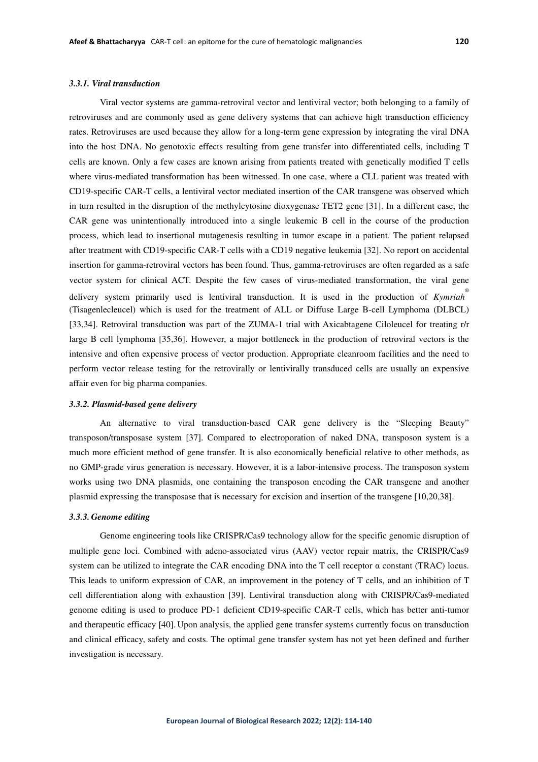# *3.3.1. Viral transduction*

Viral vector systems are gamma-retroviral vector and lentiviral vector; both belonging to a family of retroviruses and are commonly used as gene delivery systems that can achieve high transduction efficiency rates. Retroviruses are used because they allow for a long-term gene expression by integrating the viral DNA into the host DNA. No genotoxic effects resulting from gene transfer into differentiated cells, including T cells are known. Only a few cases are known arising from patients treated with genetically modified T cells where virus-mediated transformation has been witnessed. In one case, where a CLL patient was treated with CD19-specific CAR-T cells, a lentiviral vector mediated insertion of the CAR transgene was observed which in turn resulted in the disruption of the methylcytosine dioxygenase TET2 gene [31]. In a different case, the CAR gene was unintentionally introduced into a single leukemic B cell in the course of the production process, which lead to insertional mutagenesis resulting in tumor escape in a patient. The patient relapsed after treatment with CD19-specific CAR-T cells with a CD19 negative leukemia [32]. No report on accidental insertion for gamma-retroviral vectors has been found. Thus, gamma-retroviruses are often regarded as a safe vector system for clinical ACT. Despite the few cases of virus-mediated transformation, the viral gene delivery system primarily used is lentiviral transduction. It is used in the production of *Kymriah* ® (Tisagenlecleucel) which is used for the treatment of ALL or Diffuse Large B-cell Lymphoma (DLBCL) [33,34]. Retroviral transduction was part of the ZUMA-1 trial with Axicabtagene Ciloleucel for treating r/r large B cell lymphoma [35,36]. However, a major bottleneck in the production of retroviral vectors is the intensive and often expensive process of vector production. Appropriate cleanroom facilities and the need to perform vector release testing for the retrovirally or lentivirally transduced cells are usually an expensive affair even for big pharma companies.

## *3.3.2. Plasmid-based gene delivery*

An alternative to viral transduction-based CAR gene delivery is the "Sleeping Beauty" transposon/transposase system [37]. Compared to electroporation of naked DNA, transposon system is a much more efficient method of gene transfer. It is also economically beneficial relative to other methods, as no GMP-grade virus generation is necessary. However, it is a labor-intensive process. The transposon system works using two DNA plasmids, one containing the transposon encoding the CAR transgene and another plasmid expressing the transposase that is necessary for excision and insertion of the transgene [10,20,38].

#### *3.3.3. Genome editing*

Genome engineering tools like CRISPR/Cas9 technology allow for the specific genomic disruption of multiple gene loci. Combined with adeno-associated virus (AAV) vector repair matrix, the CRISPR/Cas9 system can be utilized to integrate the CAR encoding DNA into the T cell receptor  $\alpha$  constant (TRAC) locus. This leads to uniform expression of CAR, an improvement in the potency of T cells, and an inhibition of T cell differentiation along with exhaustion [39]. Lentiviral transduction along with CRISPR/Cas9-mediated genome editing is used to produce PD-1 deficient CD19-specific CAR-T cells, which has better anti-tumor and therapeutic efficacy [40]. Upon analysis, the applied gene transfer systems currently focus on transduction and clinical efficacy, safety and costs. The optimal gene transfer system has not yet been defined and further investigation is necessary.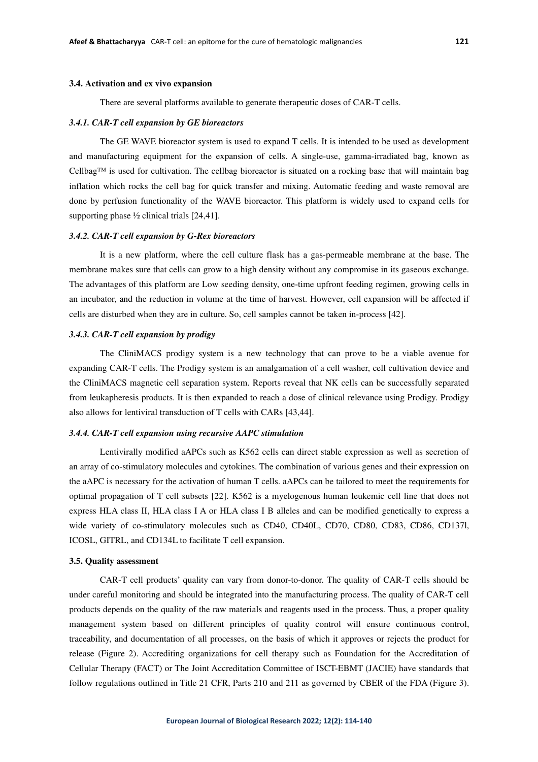#### **3.4. Activation and ex vivo expansion**

There are several platforms available to generate therapeutic doses of CAR-T cells.

#### *3.4.1. CAR-T cell expansion by GE bioreactors*

The GE WAVE bioreactor system is used to expand T cells. It is intended to be used as development and manufacturing equipment for the expansion of cells. A single-use, gamma-irradiated bag, known as Cellbag™ is used for cultivation. The cellbag bioreactor is situated on a rocking base that will maintain bag inflation which rocks the cell bag for quick transfer and mixing. Automatic feeding and waste removal are done by perfusion functionality of the WAVE bioreactor. This platform is widely used to expand cells for supporting phase ½ clinical trials [24,41].

#### *3.4.2. CAR-T cell expansion by G-Rex bioreactors*

It is a new platform, where the cell culture flask has a gas-permeable membrane at the base. The membrane makes sure that cells can grow to a high density without any compromise in its gaseous exchange. The advantages of this platform are Low seeding density, one-time upfront feeding regimen, growing cells in an incubator, and the reduction in volume at the time of harvest. However, cell expansion will be affected if cells are disturbed when they are in culture. So, cell samples cannot be taken in-process [42].

# *3.4.3. CAR-T cell expansion by prodigy*

The CliniMACS prodigy system is a new technology that can prove to be a viable avenue for expanding CAR-T cells. The Prodigy system is an amalgamation of a cell washer, cell cultivation device and the CliniMACS magnetic cell separation system. Reports reveal that NK cells can be successfully separated from leukapheresis products. It is then expanded to reach a dose of clinical relevance using Prodigy. Prodigy also allows for lentiviral transduction of T cells with CARs [43,44].

## *3.4.4. CAR-T cell expansion using recursive AAPC stimulation*

Lentivirally modified aAPCs such as K562 cells can direct stable expression as well as secretion of an array of co-stimulatory molecules and cytokines. The combination of various genes and their expression on the aAPC is necessary for the activation of human T cells. aAPCs can be tailored to meet the requirements for optimal propagation of T cell subsets [22]. K562 is a myelogenous human leukemic cell line that does not express HLA class II, HLA class I A or HLA class I B alleles and can be modified genetically to express a wide variety of co-stimulatory molecules such as CD40, CD40L, CD70, CD80, CD83, CD86, CD137l, ICOSL, GITRL, and CD134L to facilitate T cell expansion.

## **3.5. Quality assessment**

CAR-T cell products' quality can vary from donor-to-donor. The quality of CAR-T cells should be under careful monitoring and should be integrated into the manufacturing process. The quality of CAR-T cell products depends on the quality of the raw materials and reagents used in the process. Thus, a proper quality management system based on different principles of quality control will ensure continuous control, traceability, and documentation of all processes, on the basis of which it approves or rejects the product for release (Figure 2). Accrediting organizations for cell therapy such as Foundation for the Accreditation of Cellular Therapy (FACT) or The Joint Accreditation Committee of ISCT-EBMT (JACIE) have standards that follow regulations outlined in Title 21 CFR, Parts 210 and 211 as governed by CBER of the FDA (Figure 3).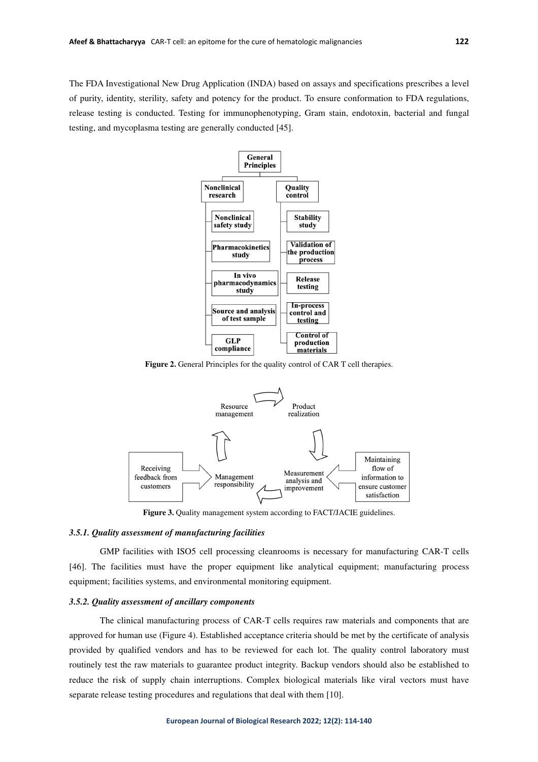The FDA Investigational New Drug Application (INDA) based on assays and specifications prescribes a level of purity, identity, sterility, safety and potency for the product. To ensure conformation to FDA regulations, release testing is conducted. Testing for immunophenotyping, Gram stain, endotoxin, bacterial and fungal testing, and mycoplasma testing are generally conducted [45].



**Figure 2.** General Principles for the quality control of CAR T cell therapies.



**Figure 3.** Quality management system according to FACT/JACIE guidelines.

#### *3.5.1. Quality assessment of manufacturing facilities*

GMP facilities with ISO5 cell processing cleanrooms is necessary for manufacturing CAR-T cells [46]. The facilities must have the proper equipment like analytical equipment; manufacturing process equipment; facilities systems, and environmental monitoring equipment.

## *3.5.2. Quality assessment of ancillary components*

The clinical manufacturing process of CAR-T cells requires raw materials and components that are approved for human use (Figure 4). Established acceptance criteria should be met by the certificate of analysis provided by qualified vendors and has to be reviewed for each lot. The quality control laboratory must routinely test the raw materials to guarantee product integrity. Backup vendors should also be established to reduce the risk of supply chain interruptions. Complex biological materials like viral vectors must have separate release testing procedures and regulations that deal with them [10].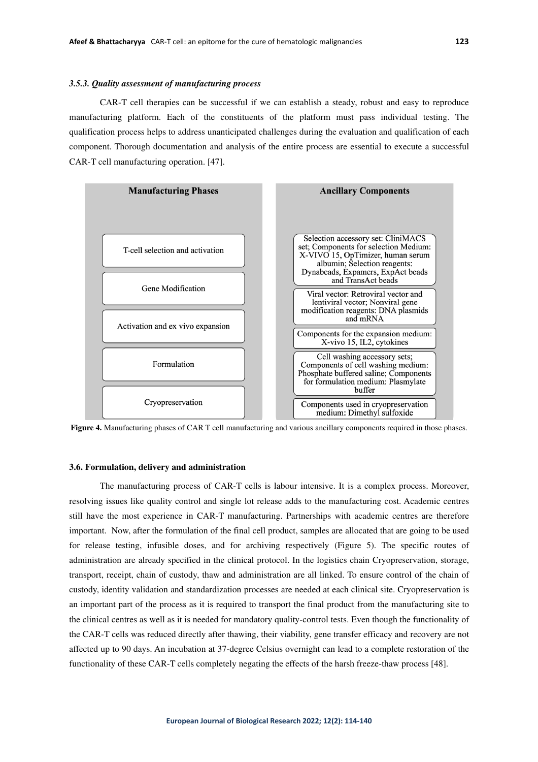## *3.5.3. Quality assessment of manufacturing process*

CAR-T cell therapies can be successful if we can establish a steady, robust and easy to reproduce manufacturing platform. Each of the constituents of the platform must pass individual testing. The qualification process helps to address unanticipated challenges during the evaluation and qualification of each component. Thorough documentation and analysis of the entire process are essential to execute a successful CAR-T cell manufacturing operation. [47].



**Figure 4.** Manufacturing phases of CAR T cell manufacturing and various ancillary components required in those phases.

#### **3.6. Formulation, delivery and administration**

The manufacturing process of CAR-T cells is labour intensive. It is a complex process. Moreover, resolving issues like quality control and single lot release adds to the manufacturing cost. Academic centres still have the most experience in CAR-T manufacturing. Partnerships with academic centres are therefore important. Now, after the formulation of the final cell product, samples are allocated that are going to be used for release testing, infusible doses, and for archiving respectively (Figure 5). The specific routes of administration are already specified in the clinical protocol. In the logistics chain Cryopreservation, storage, transport, receipt, chain of custody, thaw and administration are all linked. To ensure control of the chain of custody, identity validation and standardization processes are needed at each clinical site. Cryopreservation is an important part of the process as it is required to transport the final product from the manufacturing site to the clinical centres as well as it is needed for mandatory quality-control tests. Even though the functionality of the CAR-T cells was reduced directly after thawing, their viability, gene transfer efficacy and recovery are not affected up to 90 days. An incubation at 37-degree Celsius overnight can lead to a complete restoration of the functionality of these CAR-T cells completely negating the effects of the harsh freeze-thaw process [48].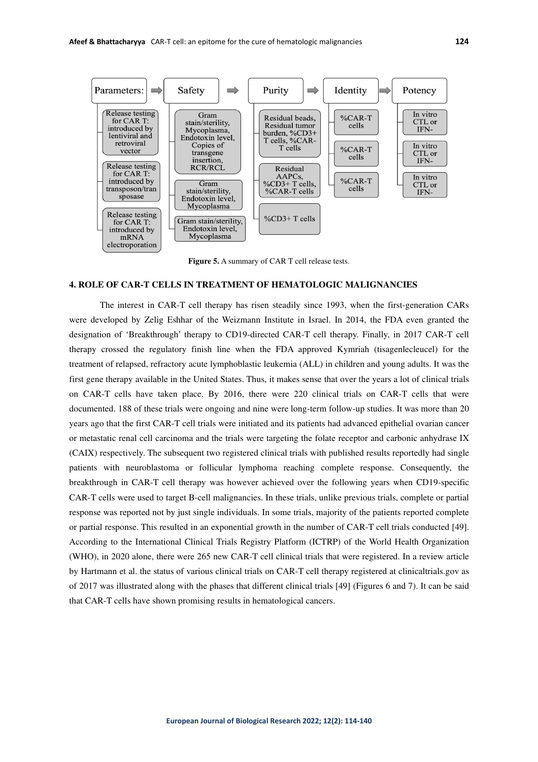

**Figure 5.** A summary of CAR T cell release tests.

# **4. ROLE OF CAR-T CELLS IN TREATMENT OF HEMATOLOGIC MALIGNANCIES**

The interest in CAR-T cell therapy has risen steadily since 1993, when the first-generation CARs were developed by Zelig Eshhar of the Weizmann Institute in Israel. In 2014, the FDA even granted the designation of 'Breakthrough' therapy to CD19-directed CAR-T cell therapy. Finally, in 2017 CAR-T cell therapy crossed the regulatory finish line when the FDA approved Kymriah (tisagenlecleucel) for the treatment of relapsed, refractory acute lymphoblastic leukemia (ALL) in children and young adults. It was the first gene therapy available in the United States. Thus, it makes sense that over the years a lot of clinical trials on CAR-T cells have taken place. By 2016, there were 220 clinical trials on CAR-T cells that were documented. 188 of these trials were ongoing and nine were long-term follow-up studies. It was more than 20 years ago that the first CAR-T cell trials were initiated and its patients had advanced epithelial ovarian cancer or metastatic renal cell carcinoma and the trials were targeting the folate receptor and carbonic anhydrase IX (CAIX) respectively. The subsequent two registered clinical trials with published results reportedly had single patients with neuroblastoma or follicular lymphoma reaching complete response. Consequently, the breakthrough in CAR-T cell therapy was however achieved over the following years when CD19-specific CAR-T cells were used to target B-cell malignancies. In these trials, unlike previous trials, complete or partial response was reported not by just single individuals. In some trials, majority of the patients reported complete or partial response. This resulted in an exponential growth in the number of CAR-T cell trials conducted [49]. According to the International Clinical Trials Registry Platform (ICTRP) of the World Health Organization (WHO), in 2020 alone, there were 265 new CAR-T cell clinical trials that were registered. In a review article by Hartmann et al. the status of various clinical trials on CAR-T cell therapy registered at clinicaltrials.gov as of 2017 was illustrated along with the phases that different clinical trials [49] (Figures 6 and 7). It can be said that CAR-T cells have shown promising results in hematological cancers.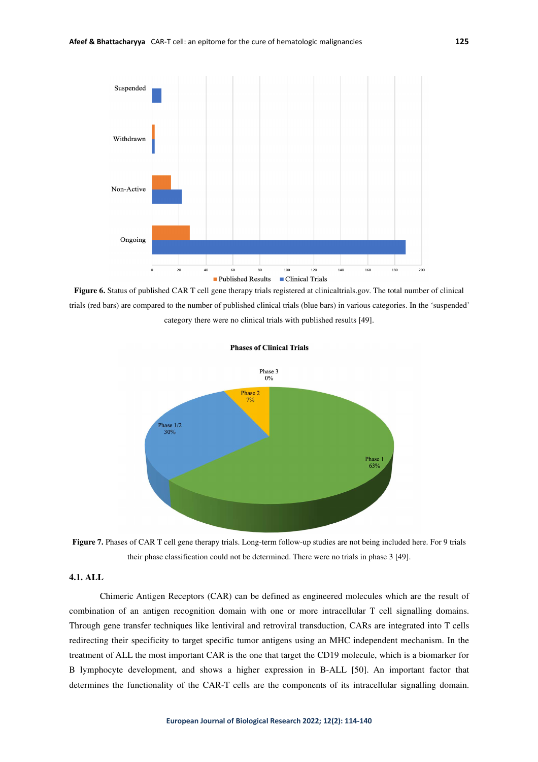

**Figure 6.** Status of published CAR T cell gene therapy trials registered at clinicaltrials.gov. The total number of clinical trials (red bars) are compared to the number of published clinical trials (blue bars) in various categories. In the 'suspended' category there were no clinical trials with published results [49].



**Phases of Clinical Trials** 

Figure 7. Phases of CAR T cell gene therapy trials. Long-term follow-up studies are not being included here. For 9 trials their phase classification could not be determined. There were no trials in phase 3 [49].

# **4.1. ALL**

Chimeric Antigen Receptors (CAR) can be defined as engineered molecules which are the result of combination of an antigen recognition domain with one or more intracellular T cell signalling domains. Through gene transfer techniques like lentiviral and retroviral transduction, CARs are integrated into T cells redirecting their specificity to target specific tumor antigens using an MHC independent mechanism. In the treatment of ALL the most important CAR is the one that target the CD19 molecule, which is a biomarker for B lymphocyte development, and shows a higher expression in B-ALL [50]. An important factor that determines the functionality of the CAR-T cells are the components of its intracellular signalling domain.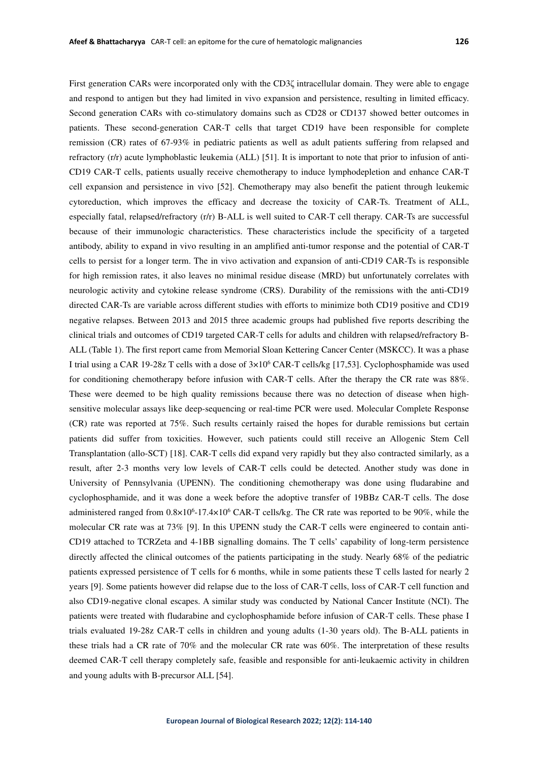First generation CARs were incorporated only with the CD3ζ intracellular domain. They were able to engage and respond to antigen but they had limited in vivo expansion and persistence, resulting in limited efficacy. Second generation CARs with co-stimulatory domains such as CD28 or CD137 showed better outcomes in patients. These second-generation CAR-T cells that target CD19 have been responsible for complete remission (CR) rates of 67-93% in pediatric patients as well as adult patients suffering from relapsed and refractory (r/r) acute lymphoblastic leukemia (ALL) [51]. It is important to note that prior to infusion of anti-CD19 CAR-T cells, patients usually receive chemotherapy to induce lymphodepletion and enhance CAR-T cell expansion and persistence in vivo [52]. Chemotherapy may also benefit the patient through leukemic cytoreduction, which improves the efficacy and decrease the toxicity of CAR-Ts. Treatment of ALL, especially fatal, relapsed/refractory (r/r) B-ALL is well suited to CAR-T cell therapy. CAR-Ts are successful because of their immunologic characteristics. These characteristics include the specificity of a targeted antibody, ability to expand in vivo resulting in an amplified anti-tumor response and the potential of CAR-T cells to persist for a longer term. The in vivo activation and expansion of anti-CD19 CAR-Ts is responsible for high remission rates, it also leaves no minimal residue disease (MRD) but unfortunately correlates with neurologic activity and cytokine release syndrome (CRS). Durability of the remissions with the anti-CD19 directed CAR-Ts are variable across different studies with efforts to minimize both CD19 positive and CD19 negative relapses. Between 2013 and 2015 three academic groups had published five reports describing the clinical trials and outcomes of CD19 targeted CAR-T cells for adults and children with relapsed/refractory B-ALL (Table 1). The first report came from Memorial Sloan Kettering Cancer Center (MSKCC). It was a phase I trial using a CAR 19-28z T cells with a dose of  $3\times10^6$  CAR-T cells/kg [17,53]. Cyclophosphamide was used for conditioning chemotherapy before infusion with CAR-T cells. After the therapy the CR rate was 88%. These were deemed to be high quality remissions because there was no detection of disease when highsensitive molecular assays like deep-sequencing or real-time PCR were used. Molecular Complete Response (CR) rate was reported at 75%. Such results certainly raised the hopes for durable remissions but certain patients did suffer from toxicities. However, such patients could still receive an Allogenic Stem Cell Transplantation (allo-SCT) [18]. CAR-T cells did expand very rapidly but they also contracted similarly, as a result, after 2-3 months very low levels of CAR-T cells could be detected. Another study was done in University of Pennsylvania (UPENN). The conditioning chemotherapy was done using fludarabine and cyclophosphamide, and it was done a week before the adoptive transfer of 19BBz CAR-T cells. The dose administered ranged from  $0.8 \times 10^{6}$ -17.4×10<sup>6</sup> CAR-T cells/kg. The CR rate was reported to be 90%, while the molecular CR rate was at 73% [9]. In this UPENN study the CAR-T cells were engineered to contain anti-CD19 attached to TCRZeta and 4-1BB signalling domains. The T cells' capability of long-term persistence directly affected the clinical outcomes of the patients participating in the study. Nearly 68% of the pediatric patients expressed persistence of T cells for 6 months, while in some patients these T cells lasted for nearly 2 years [9]. Some patients however did relapse due to the loss of CAR-T cells, loss of CAR-T cell function and also CD19-negative clonal escapes. A similar study was conducted by National Cancer Institute (NCI). The patients were treated with fludarabine and cyclophosphamide before infusion of CAR-T cells. These phase I trials evaluated 19-28z CAR-T cells in children and young adults (1-30 years old). The B-ALL patients in these trials had a CR rate of 70% and the molecular CR rate was 60%. The interpretation of these results deemed CAR-T cell therapy completely safe, feasible and responsible for anti-leukaemic activity in children and young adults with B-precursor ALL [54].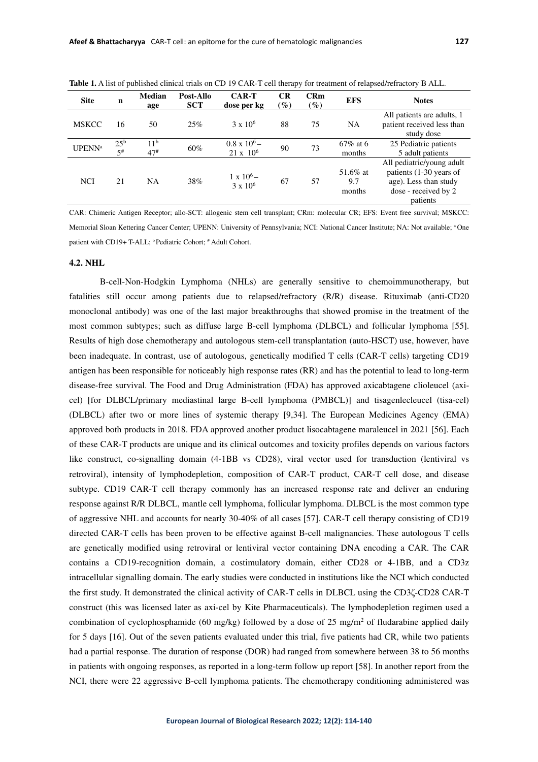| <b>Site</b>   | n                           | <b>Median</b><br>age     | Post-Allo<br><b>SCT</b> | <b>CAR-T</b><br>dose per kg               | CR<br>$\mathscr{G}_o$ | <b>CRm</b><br>$($ %) | <b>EFS</b>                | <b>Notes</b>                                                                                                      |
|---------------|-----------------------------|--------------------------|-------------------------|-------------------------------------------|-----------------------|----------------------|---------------------------|-------------------------------------------------------------------------------------------------------------------|
| <b>MSKCC</b>  | 16                          | 50                       | 25%                     | $3 \times 10^{6}$                         | 88                    | 75                   | <b>NA</b>                 | All patients are adults, 1<br>patient received less than<br>study dose                                            |
| <b>UPENNa</b> | 25 <sup>b</sup><br>$5^{\#}$ | 11 <sup>b</sup><br>$47*$ | 60%                     | $0.8 \times 10^{6} -$<br>$21 \times 10^6$ | 90                    | 73                   | $67\%$ at 6<br>months     | 25 Pediatric patients<br>5 adult patients                                                                         |
| <b>NCI</b>    | 21                          | <b>NA</b>                | 38%                     | $\frac{1 \times 10^6 -}{3 \times 10^6}$   | 67                    | 57                   | 51.6% at<br>9.7<br>months | All pediatric/young adult<br>patients (1-30 years of<br>age). Less than study<br>dose - received by 2<br>patients |

**Table 1.** A list of published clinical trials on CD 19 CAR-T cell therapy for treatment of relapsed/refractory B ALL.

CAR: Chimeric Antigen Receptor; allo-SCT: allogenic stem cell transplant; CRm: molecular CR; EFS: Event free survival; MSKCC: Memorial Sloan Kettering Cancer Center; UPENN: University of Pennsylvania; NCI: National Cancer Institute; NA: Not available; <sup>a</sup>One patient with CD19+ T-ALL; <sup>b</sup> Pediatric Cohort; # Adult Cohort.

## **4.2. NHL**

B-cell-Non-Hodgkin Lymphoma (NHLs) are generally sensitive to chemoimmunotherapy, but fatalities still occur among patients due to relapsed/refractory (R/R) disease. Rituximab (anti-CD20 monoclonal antibody) was one of the last major breakthroughs that showed promise in the treatment of the most common subtypes; such as diffuse large B-cell lymphoma (DLBCL) and follicular lymphoma [55]. Results of high dose chemotherapy and autologous stem-cell transplantation (auto-HSCT) use, however, have been inadequate. In contrast, use of autologous, genetically modified T cells (CAR-T cells) targeting CD19 antigen has been responsible for noticeably high response rates (RR) and has the potential to lead to long-term disease-free survival. The Food and Drug Administration (FDA) has approved axicabtagene clioleucel (axicel) [for DLBCL/primary mediastinal large B-cell lymphoma (PMBCL)] and tisagenlecleucel (tisa-cel) (DLBCL) after two or more lines of systemic therapy [9,34]. The European Medicines Agency (EMA) approved both products in 2018. FDA approved another product lisocabtagene maraleucel in 2021 [56]. Each of these CAR-T products are unique and its clinical outcomes and toxicity profiles depends on various factors like construct, co-signalling domain (4-1BB vs CD28), viral vector used for transduction (lentiviral vs retroviral), intensity of lymphodepletion, composition of CAR-T product, CAR-T cell dose, and disease subtype. CD19 CAR-T cell therapy commonly has an increased response rate and deliver an enduring response against R/R DLBCL, mantle cell lymphoma, follicular lymphoma. DLBCL is the most common type of aggressive NHL and accounts for nearly 30-40% of all cases [57]. CAR-T cell therapy consisting of CD19 directed CAR-T cells has been proven to be effective against B-cell malignancies. These autologous T cells are genetically modified using retroviral or lentiviral vector containing DNA encoding a CAR. The CAR contains a CD19-recognition domain, a costimulatory domain, either CD28 or 4-1BB, and a CD3z intracellular signalling domain. The early studies were conducted in institutions like the NCI which conducted the first study. It demonstrated the clinical activity of CAR-T cells in DLBCL using the CD3ζ-CD28 CAR-T construct (this was licensed later as axi-cel by Kite Pharmaceuticals). The lymphodepletion regimen used a combination of cyclophosphamide (60 mg/kg) followed by a dose of 25 mg/m<sup>2</sup> of fludarabine applied daily for 5 days [16]. Out of the seven patients evaluated under this trial, five patients had CR, while two patients had a partial response. The duration of response (DOR) had ranged from somewhere between 38 to 56 months in patients with ongoing responses, as reported in a long-term follow up report [58]. In another report from the NCI, there were 22 aggressive B-cell lymphoma patients. The chemotherapy conditioning administered was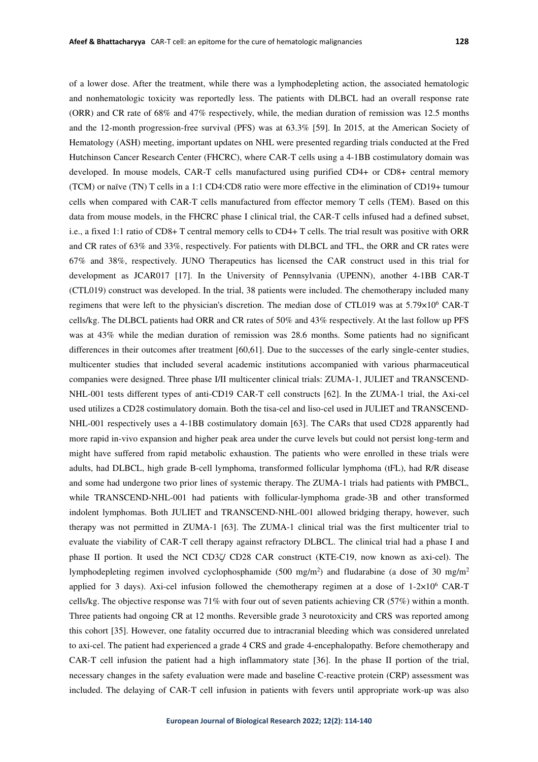of a lower dose. After the treatment, while there was a lymphodepleting action, the associated hematologic and nonhematologic toxicity was reportedly less. The patients with DLBCL had an overall response rate (ORR) and CR rate of 68% and 47% respectively, while, the median duration of remission was 12.5 months and the 12-month progression-free survival (PFS) was at 63.3% [59]. In 2015, at the American Society of Hematology (ASH) meeting, important updates on NHL were presented regarding trials conducted at the Fred Hutchinson Cancer Research Center (FHCRC), where CAR-T cells using a 4-1BB costimulatory domain was developed. In mouse models, CAR-T cells manufactured using purified CD4+ or CD8+ central memory (TCM) or naïve (TN) T cells in a 1:1 CD4:CD8 ratio were more effective in the elimination of CD19+ tumour cells when compared with CAR-T cells manufactured from effector memory T cells (TEM). Based on this data from mouse models, in the FHCRC phase I clinical trial, the CAR-T cells infused had a defined subset, i.e., a fixed 1:1 ratio of CD8+ T central memory cells to CD4+ T cells. The trial result was positive with ORR and CR rates of 63% and 33%, respectively. For patients with DLBCL and TFL, the ORR and CR rates were 67% and 38%, respectively. JUNO Therapeutics has licensed the CAR construct used in this trial for development as JCAR017 [17]. In the University of Pennsylvania (UPENN), another 4-1BB CAR-T (CTL019) construct was developed. In the trial, 38 patients were included. The chemotherapy included many regimens that were left to the physician's discretion. The median dose of CTL019 was at 5.79×10<sup>6</sup> CAR-T cells/kg. The DLBCL patients had ORR and CR rates of 50% and 43% respectively. At the last follow up PFS was at 43% while the median duration of remission was 28.6 months. Some patients had no significant differences in their outcomes after treatment [60,61]. Due to the successes of the early single-center studies, multicenter studies that included several academic institutions accompanied with various pharmaceutical companies were designed. Three phase I/II multicenter clinical trials: ZUMA-1, JULIET and TRANSCEND-NHL-001 tests different types of anti-CD19 CAR-T cell constructs [62]. In the ZUMA-1 trial, the Axi-cel used utilizes a CD28 costimulatory domain. Both the tisa-cel and liso-cel used in JULIET and TRANSCEND-NHL-001 respectively uses a 4-1BB costimulatory domain [63]. The CARs that used CD28 apparently had more rapid in-vivo expansion and higher peak area under the curve levels but could not persist long-term and might have suffered from rapid metabolic exhaustion. The patients who were enrolled in these trials were adults, had DLBCL, high grade B-cell lymphoma, transformed follicular lymphoma (tFL), had R/R disease and some had undergone two prior lines of systemic therapy. The ZUMA-1 trials had patients with PMBCL, while TRANSCEND-NHL-001 had patients with follicular-lymphoma grade-3B and other transformed indolent lymphomas. Both JULIET and TRANSCEND-NHL-001 allowed bridging therapy, however, such therapy was not permitted in ZUMA-1 [63]. The ZUMA-1 clinical trial was the first multicenter trial to evaluate the viability of CAR-T cell therapy against refractory DLBCL. The clinical trial had a phase I and phase II portion. It used the NCI CD3ζ/ CD28 CAR construct (KTE-C19, now known as axi-cel). The lymphodepleting regimen involved cyclophosphamide (500 mg/m<sup>2</sup>) and fludarabine (a dose of 30 mg/m<sup>2</sup> applied for 3 days). Axi-cel infusion followed the chemotherapy regimen at a dose of  $1-2\times10^6$  CAR-T cells/kg. The objective response was 71% with four out of seven patients achieving CR (57%) within a month. Three patients had ongoing CR at 12 months. Reversible grade 3 neurotoxicity and CRS was reported among this cohort [35]. However, one fatality occurred due to intracranial bleeding which was considered unrelated to axi-cel. The patient had experienced a grade 4 CRS and grade 4-encephalopathy. Before chemotherapy and CAR-T cell infusion the patient had a high inflammatory state [36]. In the phase II portion of the trial, necessary changes in the safety evaluation were made and baseline C-reactive protein (CRP) assessment was included. The delaying of CAR-T cell infusion in patients with fevers until appropriate work-up was also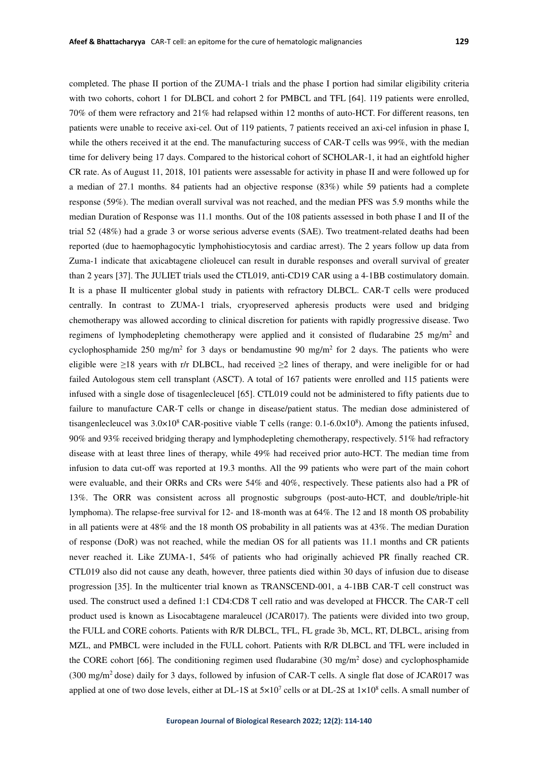completed. The phase II portion of the ZUMA-1 trials and the phase I portion had similar eligibility criteria with two cohorts, cohort 1 for DLBCL and cohort 2 for PMBCL and TFL [64]. 119 patients were enrolled, 70% of them were refractory and 21% had relapsed within 12 months of auto-HCT. For different reasons, ten patients were unable to receive axi-cel. Out of 119 patients, 7 patients received an axi-cel infusion in phase I, while the others received it at the end. The manufacturing success of CAR-T cells was 99%, with the median time for delivery being 17 days. Compared to the historical cohort of SCHOLAR-1, it had an eightfold higher CR rate. As of August 11, 2018, 101 patients were assessable for activity in phase II and were followed up for a median of 27.1 months. 84 patients had an objective response (83%) while 59 patients had a complete response (59%). The median overall survival was not reached, and the median PFS was 5.9 months while the median Duration of Response was 11.1 months. Out of the 108 patients assessed in both phase I and II of the trial 52 (48%) had a grade 3 or worse serious adverse events (SAE). Two treatment-related deaths had been reported (due to haemophagocytic lymphohistiocytosis and cardiac arrest). The 2 years follow up data from Zuma-1 indicate that axicabtagene clioleucel can result in durable responses and overall survival of greater than 2 years [37]. The JULIET trials used the CTL019, anti-CD19 CAR using a 4-1BB costimulatory domain. It is a phase II multicenter global study in patients with refractory DLBCL. CAR-T cells were produced centrally. In contrast to ZUMA-1 trials, cryopreserved apheresis products were used and bridging chemotherapy was allowed according to clinical discretion for patients with rapidly progressive disease. Two regimens of lymphodepleting chemotherapy were applied and it consisted of fludarabine 25 mg/m<sup>2</sup> and cyclophosphamide 250 mg/m<sup>2</sup> for 3 days or bendamustine 90 mg/m<sup>2</sup> for 2 days. The patients who were eligible were ≥18 years with r/r DLBCL, had received ≥2 lines of therapy, and were ineligible for or had failed Autologous stem cell transplant (ASCT). A total of 167 patients were enrolled and 115 patients were infused with a single dose of tisagenlecleucel [65]. CTL019 could not be administered to fifty patients due to failure to manufacture CAR-T cells or change in disease/patient status. The median dose administered of tisangenlecleucel was  $3.0 \times 10^8$  CAR-positive viable T cells (range:  $0.1 - 6.0 \times 10^8$ ). Among the patients infused, 90% and 93% received bridging therapy and lymphodepleting chemotherapy, respectively. 51% had refractory disease with at least three lines of therapy, while 49% had received prior auto-HCT. The median time from infusion to data cut-off was reported at 19.3 months. All the 99 patients who were part of the main cohort were evaluable, and their ORRs and CRs were 54% and 40%, respectively. These patients also had a PR of 13%. The ORR was consistent across all prognostic subgroups (post-auto-HCT, and double/triple-hit lymphoma). The relapse-free survival for 12- and 18-month was at 64%. The 12 and 18 month OS probability in all patients were at 48% and the 18 month OS probability in all patients was at 43%. The median Duration of response (DoR) was not reached, while the median OS for all patients was 11.1 months and CR patients never reached it. Like ZUMA-1, 54% of patients who had originally achieved PR finally reached CR. CTL019 also did not cause any death, however, three patients died within 30 days of infusion due to disease progression [35]. In the multicenter trial known as TRANSCEND-001, a 4-1BB CAR-T cell construct was used. The construct used a defined 1:1 CD4:CD8 T cell ratio and was developed at FHCCR. The CAR-T cell product used is known as Lisocabtagene maraleucel (JCAR017). The patients were divided into two group, the FULL and CORE cohorts. Patients with R/R DLBCL, TFL, FL grade 3b, MCL, RT, DLBCL, arising from MZL, and PMBCL were included in the FULL cohort. Patients with R/R DLBCL and TFL were included in the CORE cohort [66]. The conditioning regimen used fludarabine (30 mg/m<sup>2</sup> dose) and cyclophosphamide (300 mg/m<sup>2</sup>dose) daily for 3 days, followed by infusion of CAR-T cells. A single flat dose of JCAR017 was applied at one of two dose levels, either at DL-1S at  $5\times10^7$  cells or at DL-2S at  $1\times10^8$  cells. A small number of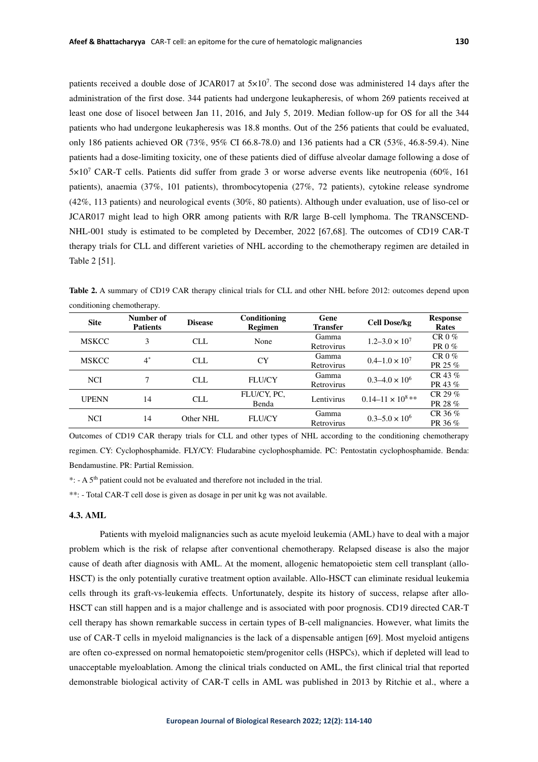patients received a double dose of JCAR017 at  $5\times10^{7}$ . The second dose was administered 14 days after the administration of the first dose. 344 patients had undergone leukapheresis, of whom 269 patients received at least one dose of lisocel between Jan 11, 2016, and July 5, 2019. Median follow-up for OS for all the 344 patients who had undergone leukapheresis was 18.8 months. Out of the 256 patients that could be evaluated, only 186 patients achieved OR (73%, 95% CI 66.8-78.0) and 136 patients had a CR (53%, 46.8-59.4). Nine patients had a dose-limiting toxicity, one of these patients died of diffuse alveolar damage following a dose of 5×10<sup>7</sup> CAR-T cells. Patients did suffer from grade 3 or worse adverse events like neutropenia (60%, 161 patients), anaemia (37%, 101 patients), thrombocytopenia (27%, 72 patients), cytokine release syndrome (42%, 113 patients) and neurological events (30%, 80 patients). Although under evaluation, use of liso-cel or JCAR017 might lead to high ORR among patients with R/R large B-cell lymphoma. The TRANSCEND-NHL-001 study is estimated to be completed by December, 2022 [67,68]. The outcomes of CD19 CAR-T therapy trials for CLL and different varieties of NHL according to the chemotherapy regimen are detailed in Table 2 [51].

**Table 2.** A summary of CD19 CAR therapy clinical trials for CLL and other NHL before 2012: outcomes depend upon conditioning chemotherapy.

| <b>Site</b>  | Number of<br><b>Patients</b> | <b>Disease</b> | Conditioning<br><b>Regimen</b> | Gene<br><b>Transfer</b> | <b>Cell Dose/kg</b>          | <b>Response</b><br>Rates |
|--------------|------------------------------|----------------|--------------------------------|-------------------------|------------------------------|--------------------------|
| <b>MSKCC</b> | 3                            | CLL.           | None                           | Gamma<br>Retrovirus     | $1.2 - 3.0 \times 10^7$      | $CR0\%$<br>PR 0 %        |
| <b>MSKCC</b> | $4^*$                        | CLL            | CY                             | Gamma<br>Retrovirus     | $0.4 - 1.0 \times 10^7$      | $CR0\%$<br>PR 25 %       |
| <b>NCI</b>   |                              | CLL            | <b>FLU/CY</b>                  | Gamma<br>Retrovirus     | $0.3 - 4.0 \times 10^6$      | CR 43 $%$<br>PR 43 %     |
| <b>UPENN</b> | 14                           | CLL.           | FLU/CY, PC,<br>Benda           | Lentivirus              | $0.14 - 11 \times 10^{8}$ ** | CR 29 $%$<br>PR 28 %     |
| <b>NCI</b>   | 14                           | Other NHL      | <b>FLU/CY</b>                  | Gamma<br>Retrovirus     | $0.3 - 5.0 \times 10^6$      | CR 36 $%$<br>PR 36 %     |

Outcomes of CD19 CAR therapy trials for CLL and other types of NHL according to the conditioning chemotherapy regimen. CY: Cyclophosphamide. FLY/CY: Fludarabine cyclophosphamide. PC: Pentostatin cyclophosphamide. Benda: Bendamustine. PR: Partial Remission.

\*: - A 5th patient could not be evaluated and therefore not included in the trial.

\*\*: - Total CAR-T cell dose is given as dosage in per unit kg was not available.

## **4.3. AML**

Patients with myeloid malignancies such as acute myeloid leukemia (AML) have to deal with a major problem which is the risk of relapse after conventional chemotherapy. Relapsed disease is also the major cause of death after diagnosis with AML. At the moment, allogenic hematopoietic stem cell transplant (allo-HSCT) is the only potentially curative treatment option available. Allo-HSCT can eliminate residual leukemia cells through its graft-vs-leukemia effects. Unfortunately, despite its history of success, relapse after allo-HSCT can still happen and is a major challenge and is associated with poor prognosis. CD19 directed CAR-T cell therapy has shown remarkable success in certain types of B-cell malignancies. However, what limits the use of CAR-T cells in myeloid malignancies is the lack of a dispensable antigen [69]. Most myeloid antigens are often co-expressed on normal hematopoietic stem/progenitor cells (HSPCs), which if depleted will lead to unacceptable myeloablation. Among the clinical trials conducted on AML, the first clinical trial that reported demonstrable biological activity of CAR-T cells in AML was published in 2013 by Ritchie et al., where a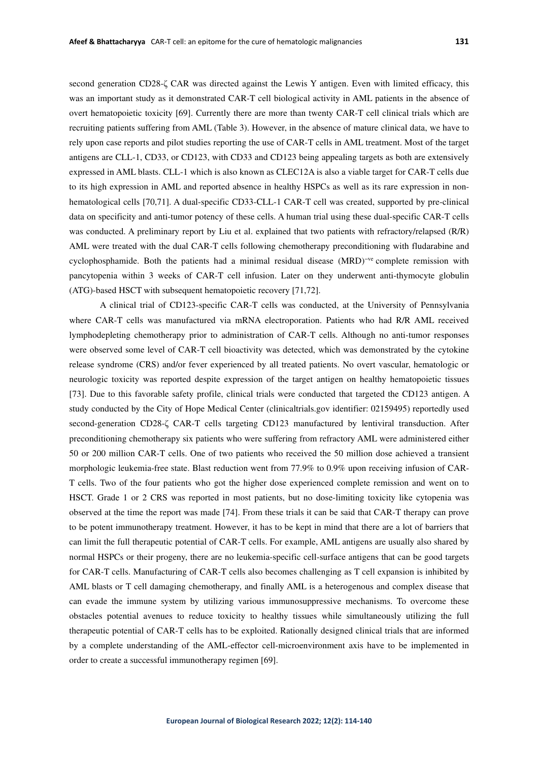second generation CD28-ζ CAR was directed against the Lewis Y antigen. Even with limited efficacy, this was an important study as it demonstrated CAR-T cell biological activity in AML patients in the absence of overt hematopoietic toxicity [69]. Currently there are more than twenty CAR-T cell clinical trials which are recruiting patients suffering from AML (Table 3). However, in the absence of mature clinical data, we have to rely upon case reports and pilot studies reporting the use of CAR-T cells in AML treatment. Most of the target antigens are CLL-1, CD33, or CD123, with CD33 and CD123 being appealing targets as both are extensively expressed in AML blasts. CLL-1 which is also known as CLEC12A is also a viable target for CAR-T cells due to its high expression in AML and reported absence in healthy HSPCs as well as its rare expression in nonhematological cells [70,71]. A dual-specific CD33-CLL-1 CAR-T cell was created, supported by pre-clinical data on specificity and anti-tumor potency of these cells. A human trial using these dual-specific CAR-T cells was conducted. A preliminary report by Liu et al. explained that two patients with refractory/relapsed (R/R) AML were treated with the dual CAR-T cells following chemotherapy preconditioning with fludarabine and cyclophosphamide. Both the patients had a minimal residual disease (MRD)<sup>-ve</sup> complete remission with pancytopenia within 3 weeks of CAR-T cell infusion. Later on they underwent anti-thymocyte globulin (ATG)-based HSCT with subsequent hematopoietic recovery [71,72].

A clinical trial of CD123-specific CAR-T cells was conducted, at the University of Pennsylvania where CAR-T cells was manufactured via mRNA electroporation. Patients who had R/R AML received lymphodepleting chemotherapy prior to administration of CAR-T cells. Although no anti-tumor responses were observed some level of CAR-T cell bioactivity was detected, which was demonstrated by the cytokine release syndrome (CRS) and/or fever experienced by all treated patients. No overt vascular, hematologic or neurologic toxicity was reported despite expression of the target antigen on healthy hematopoietic tissues [73]. Due to this favorable safety profile, clinical trials were conducted that targeted the CD123 antigen. A study conducted by the City of Hope Medical Center (clinicaltrials.gov identifier: 02159495) reportedly used second-generation CD28-ζ CAR-T cells targeting CD123 manufactured by lentiviral transduction. After preconditioning chemotherapy six patients who were suffering from refractory AML were administered either 50 or 200 million CAR-T cells. One of two patients who received the 50 million dose achieved a transient morphologic leukemia-free state. Blast reduction went from 77.9% to 0.9% upon receiving infusion of CAR-T cells. Two of the four patients who got the higher dose experienced complete remission and went on to HSCT. Grade 1 or 2 CRS was reported in most patients, but no dose-limiting toxicity like cytopenia was observed at the time the report was made [74]. From these trials it can be said that CAR-T therapy can prove to be potent immunotherapy treatment. However, it has to be kept in mind that there are a lot of barriers that can limit the full therapeutic potential of CAR-T cells. For example, AML antigens are usually also shared by normal HSPCs or their progeny, there are no leukemia-specific cell-surface antigens that can be good targets for CAR-T cells. Manufacturing of CAR-T cells also becomes challenging as T cell expansion is inhibited by AML blasts or T cell damaging chemotherapy, and finally AML is a heterogenous and complex disease that can evade the immune system by utilizing various immunosuppressive mechanisms. To overcome these obstacles potential avenues to reduce toxicity to healthy tissues while simultaneously utilizing the full therapeutic potential of CAR-T cells has to be exploited. Rationally designed clinical trials that are informed by a complete understanding of the AML-effector cell-microenvironment axis have to be implemented in order to create a successful immunotherapy regimen [69].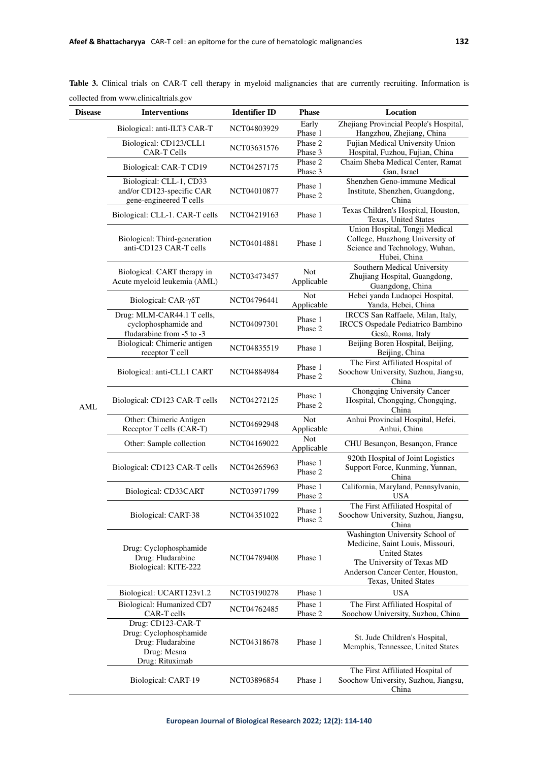| <b>Disease</b> | <b>Interventions</b>                                                                               | <b>Identifier ID</b> | <b>Phase</b>             | Location                                                                                                                                                                              |
|----------------|----------------------------------------------------------------------------------------------------|----------------------|--------------------------|---------------------------------------------------------------------------------------------------------------------------------------------------------------------------------------|
|                |                                                                                                    | NCT04803929          | Early                    | Zhejiang Provincial People's Hospital,                                                                                                                                                |
| <b>AML</b>     | Biological: anti-ILT3 CAR-T                                                                        |                      | Phase 1                  | Hangzhou, Zhejiang, China                                                                                                                                                             |
|                | Biological: CD123/CLL1<br>CAR-T Cells                                                              | NCT03631576          | Phase 2<br>Phase 3       | Fujian Medical University Union<br>Hospital, Fuzhou, Fujian, China                                                                                                                    |
|                | Biological: CAR-T CD19                                                                             | NCT04257175          | Phase 2<br>Phase 3       | Chaim Sheba Medical Center, Ramat<br>Gan, Israel                                                                                                                                      |
|                | Biological: CLL-1, CD33                                                                            |                      | Phase 1                  | Shenzhen Geno-immune Medical                                                                                                                                                          |
|                | and/or CD123-specific CAR<br>gene-engineered T cells                                               | NCT04010877          | Phase 2                  | Institute, Shenzhen, Guangdong,<br>China                                                                                                                                              |
|                | Biological: CLL-1. CAR-T cells                                                                     | NCT04219163          | Phase 1                  | Texas Children's Hospital, Houston,<br>Texas, United States                                                                                                                           |
|                | Biological: Third-generation<br>anti-CD123 CAR-T cells                                             | NCT04014881          | Phase 1                  | Union Hospital, Tongji Medical<br>College, Huazhong University of<br>Science and Technology, Wuhan,<br>Hubei, China                                                                   |
|                | Biological: CART therapy in<br>Acute myeloid leukemia (AML)                                        | NCT03473457          | <b>Not</b><br>Applicable | Southern Medical University<br>Zhujiang Hospital, Guangdong,<br>Guangdong, China                                                                                                      |
|                | Biological: CAR-γδΤ                                                                                | NCT04796441          | Not<br>Applicable        | Hebei yanda Ludaopei Hospital,<br>Yanda, Hebei, China                                                                                                                                 |
|                | Drug: MLM-CAR44.1 T cells,<br>cyclophosphamide and<br>fludarabine from -5 to -3                    | NCT04097301          | Phase 1<br>Phase 2       | IRCCS San Raffaele, Milan, Italy,<br><b>IRCCS</b> Ospedale Pediatrico Bambino<br>Gesù, Roma, Italy                                                                                    |
|                | Biological: Chimeric antigen<br>receptor T cell                                                    | NCT04835519          | Phase 1                  | Beijing Boren Hospital, Beijing,<br>Beijing, China                                                                                                                                    |
|                | Biological: anti-CLL1 CART                                                                         | NCT04884984          | Phase 1<br>Phase 2       | The First Affiliated Hospital of<br>Soochow University, Suzhou, Jiangsu,<br>China                                                                                                     |
|                | Biological: CD123 CAR-T cells                                                                      | NCT04272125          | Phase 1<br>Phase 2       | Chongqing University Cancer<br>Hospital, Chongqing, Chongqing,<br>China                                                                                                               |
|                | Other: Chimeric Antigen<br>Receptor T cells (CAR-T)                                                | NCT04692948          | Not<br>Applicable        | Anhui Provincial Hospital, Hefei,<br>Anhui, China                                                                                                                                     |
|                | Other: Sample collection                                                                           | NCT04169022          | Not<br>Applicable        | CHU Besançon, Besançon, France                                                                                                                                                        |
|                | Biological: CD123 CAR-T cells                                                                      | NCT04265963          | Phase 1<br>Phase 2       | 920th Hospital of Joint Logistics<br>Support Force, Kunming, Yunnan,<br>China                                                                                                         |
|                | Biological: CD33CART                                                                               | NCT03971799          | Phase 1<br>Phase 2       | California, Maryland, Pennsylvania,<br>USA.                                                                                                                                           |
|                | Biological: CART-38                                                                                | NCT04351022          | Phase 1<br>Phase 2       | The First Affiliated Hospital of<br>Soochow University, Suzhou, Jiangsu,<br>China                                                                                                     |
|                | Drug: Cyclophosphamide<br>Drug: Fludarabine<br>Biological: KITE-222                                | NCT04789408          | Phase 1                  | Washington University School of<br>Medicine, Saint Louis, Missouri,<br><b>United States</b><br>The University of Texas MD<br>Anderson Cancer Center, Houston,<br>Texas, United States |
|                | Biological: UCART123v1.2                                                                           | NCT03190278          | Phase 1                  | <b>USA</b>                                                                                                                                                                            |
|                | Biological: Humanized CD7<br>CAR-T cells                                                           | NCT04762485          | Phase 1<br>Phase 2       | The First Affiliated Hospital of<br>Soochow University, Suzhou, China                                                                                                                 |
|                | Drug: CD123-CAR-T<br>Drug: Cyclophosphamide<br>Drug: Fludarabine<br>Drug: Mesna<br>Drug: Rituximab | NCT04318678          | Phase 1                  | St. Jude Children's Hospital,<br>Memphis, Tennessee, United States                                                                                                                    |
|                | Biological: CART-19                                                                                | NCT03896854          | Phase 1                  | The First Affiliated Hospital of<br>Soochow University, Suzhou, Jiangsu,<br>China                                                                                                     |

**Table 3.** Clinical trials on CAR-T cell therapy in myeloid malignancies that are currently recruiting. Information is collected from www.clinicaltrials.gov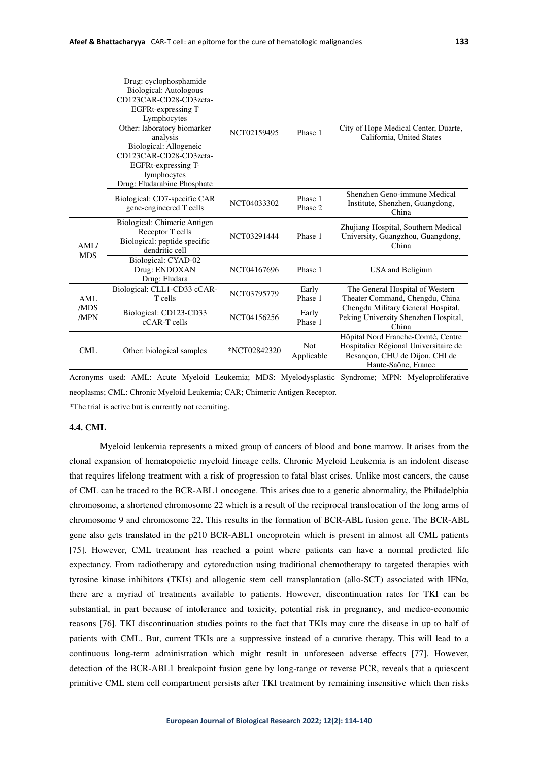| Drug: cyclophosphamide<br>Biological: Autologous<br>CD123CAR-CD28-CD3zeta-<br><b>EGFRt-expressing T</b><br>Lymphocytes<br>Other: laboratory biomarker<br>analysis<br>Biological: Allogeneic<br>CD123CAR-CD28-CD3zeta-<br>EGFRt-expressing T-<br>lymphocytes<br>Drug: Fludarabine Phosphate |                                                                                                    | NCT02159495  | Phase 1                  | City of Hope Medical Center, Duarte,<br>California, United States                                                                    |
|--------------------------------------------------------------------------------------------------------------------------------------------------------------------------------------------------------------------------------------------------------------------------------------------|----------------------------------------------------------------------------------------------------|--------------|--------------------------|--------------------------------------------------------------------------------------------------------------------------------------|
|                                                                                                                                                                                                                                                                                            | Biological: CD7-specific CAR<br>gene-engineered T cells                                            | NCT04033302  | Phase 1<br>Phase 2       | Shenzhen Geno-immune Medical<br>Institute, Shenzhen, Guangdong,<br>China                                                             |
| AML/<br><b>MDS</b>                                                                                                                                                                                                                                                                         | Biological: Chimeric Antigen<br>Receptor T cells<br>Biological: peptide specific<br>dendritic cell | NCT03291444  | Phase 1                  | Zhujiang Hospital, Southern Medical<br>University, Guangzhou, Guangdong,<br>China                                                    |
|                                                                                                                                                                                                                                                                                            | Biological: CYAD-02<br>Drug: ENDOXAN<br>Drug: Fludara                                              | NCT04167696  | Phase 1                  | USA and Beligium                                                                                                                     |
| AML<br>/MDS<br>/MPN                                                                                                                                                                                                                                                                        | Biological: CLL1-CD33 cCAR-<br>T cells                                                             | NCT03795779  | Early<br>Phase 1         | The General Hospital of Western<br>Theater Command, Chengdu, China                                                                   |
|                                                                                                                                                                                                                                                                                            | Biological: CD123-CD33<br>$cCAR$ -T cells                                                          | NCT04156256  | Early<br>Phase 1         | Chengdu Military General Hospital,<br>Peking University Shenzhen Hospital,<br>China                                                  |
| <b>CML</b>                                                                                                                                                                                                                                                                                 | Other: biological samples                                                                          | *NCT02842320 | <b>Not</b><br>Applicable | Hôpital Nord Franche-Comté, Centre<br>Hospitalier Régional Universitaire de<br>Besançon, CHU de Dijon, CHI de<br>Haute-Saône, France |

Acronyms used: AML: Acute Myeloid Leukemia; MDS: Myelodysplastic Syndrome; MPN: Myeloproliferative neoplasms; CML: Chronic Myeloid Leukemia; CAR; Chimeric Antigen Receptor.

\*The trial is active but is currently not recruiting.

## **4.4. CML**

Myeloid leukemia represents a mixed group of cancers of blood and bone marrow. It arises from the clonal expansion of hematopoietic myeloid lineage cells. Chronic Myeloid Leukemia is an indolent disease that requires lifelong treatment with a risk of progression to fatal blast crises. Unlike most cancers, the cause of CML can be traced to the BCR-ABL1 oncogene. This arises due to a genetic abnormality, the Philadelphia chromosome, a shortened chromosome 22 which is a result of the reciprocal translocation of the long arms of chromosome 9 and chromosome 22. This results in the formation of BCR-ABL fusion gene. The BCR-ABL gene also gets translated in the p210 BCR-ABL1 oncoprotein which is present in almost all CML patients [75]. However, CML treatment has reached a point where patients can have a normal predicted life expectancy. From radiotherapy and cytoreduction using traditional chemotherapy to targeted therapies with tyrosine kinase inhibitors (TKIs) and allogenic stem cell transplantation (allo-SCT) associated with IFNα, there are a myriad of treatments available to patients. However, discontinuation rates for TKI can be substantial, in part because of intolerance and toxicity, potential risk in pregnancy, and medico-economic reasons [76]. TKI discontinuation studies points to the fact that TKIs may cure the disease in up to half of patients with CML. But, current TKIs are a suppressive instead of a curative therapy. This will lead to a continuous long-term administration which might result in unforeseen adverse effects [77]. However, detection of the BCR-ABL1 breakpoint fusion gene by long-range or reverse PCR, reveals that a quiescent primitive CML stem cell compartment persists after TKI treatment by remaining insensitive which then risks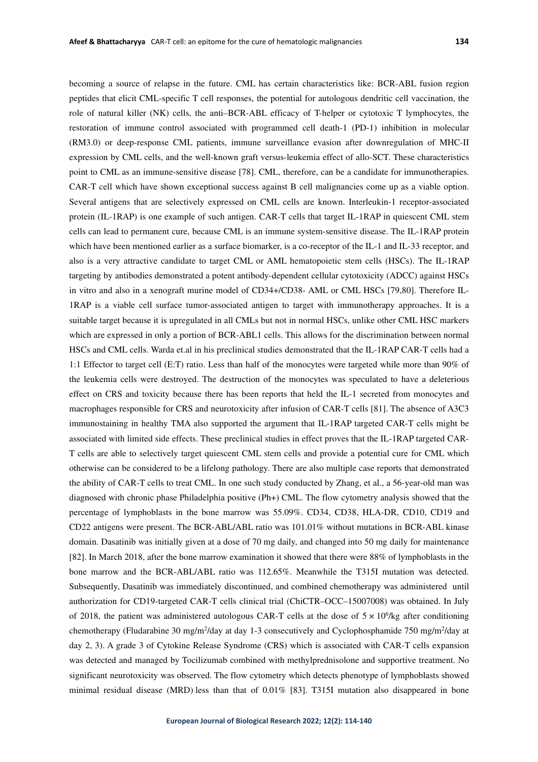becoming a source of relapse in the future. CML has certain characteristics like: BCR-ABL fusion region peptides that elicit CML-specific T cell responses, the potential for autologous dendritic cell vaccination, the role of natural killer (NK) cells, the anti–BCR-ABL efficacy of T-helper or cytotoxic T lymphocytes, the restoration of immune control associated with programmed cell death-1 (PD-1) inhibition in molecular (RM3.0) or deep-response CML patients, immune surveillance evasion after downregulation of MHC-II expression by CML cells, and the well-known graft versus-leukemia effect of allo-SCT. These characteristics point to CML as an immune-sensitive disease [78]. CML, therefore, can be a candidate for immunotherapies. CAR-T cell which have shown exceptional success against B cell malignancies come up as a viable option. Several antigens that are selectively expressed on CML cells are known. Interleukin-1 receptor-associated protein (IL-1RAP) is one example of such antigen. CAR-T cells that target IL-1RAP in quiescent CML stem cells can lead to permanent cure, because CML is an immune system-sensitive disease. The IL-1RAP protein which have been mentioned earlier as a surface biomarker, is a co-receptor of the IL-1 and IL-33 receptor, and also is a very attractive candidate to target CML or AML hematopoietic stem cells (HSCs). The IL-1RAP targeting by antibodies demonstrated a potent antibody-dependent cellular cytotoxicity (ADCC) against HSCs in vitro and also in a xenograft murine model of CD34+/CD38- AML or CML HSCs [79,80]. Therefore IL-1RAP is a viable cell surface tumor-associated antigen to target with immunotherapy approaches. It is a suitable target because it is upregulated in all CMLs but not in normal HSCs, unlike other CML HSC markers which are expressed in only a portion of BCR-ABL1 cells. This allows for the discrimination between normal HSCs and CML cells. Warda et.al in his preclinical studies demonstrated that the IL-1RAP CAR-T cells had a 1:1 Effector to target cell (E:T) ratio. Less than half of the monocytes were targeted while more than 90% of the leukemia cells were destroyed. The destruction of the monocytes was speculated to have a deleterious effect on CRS and toxicity because there has been reports that held the IL-1 secreted from monocytes and macrophages responsible for CRS and neurotoxicity after infusion of CAR-T cells [81]. The absence of A3C3 immunostaining in healthy TMA also supported the argument that IL-1RAP targeted CAR-T cells might be associated with limited side effects. These preclinical studies in effect proves that the IL-1RAP targeted CAR-T cells are able to selectively target quiescent CML stem cells and provide a potential cure for CML which otherwise can be considered to be a lifelong pathology. There are also multiple case reports that demonstrated the ability of CAR-T cells to treat CML. In one such study conducted by Zhang, et al., a 56-year-old man was diagnosed with chronic phase Philadelphia positive (Ph+) CML. The flow cytometry analysis showed that the percentage of lymphoblasts in the bone marrow was 55.09%. CD34, CD38, HLA-DR, CD10, CD19 and CD22 antigens were present. The BCR-ABL/ABL ratio was 101.01% without mutations in BCR-ABL kinase domain. Dasatinib was initially given at a dose of 70 mg daily, and changed into 50 mg daily for maintenance [82]. In March 2018, after the bone marrow examination it showed that there were 88% of lymphoblasts in the bone marrow and the BCR-ABL/ABL ratio was 112.65%. Meanwhile the T315I mutation was detected. Subsequently, Dasatinib was immediately discontinued, and combined chemotherapy was administered until authorization for CD19-targeted CAR-T cells clinical trial (ChiCTR–OCC–15007008) was obtained. In July of 2018, the patient was administered autologous CAR-T cells at the dose of  $5 \times 10^6$ /kg after conditioning chemotherapy (Fludarabine 30 mg/m<sup>2</sup>/day at day 1-3 consecutively and Cyclophosphamide 750 mg/m<sup>2</sup>/day at day 2, 3). A grade 3 of Cytokine Release Syndrome (CRS) which is associated with CAR-T cells expansion was detected and managed by Tocilizumab combined with methylprednisolone and supportive treatment. No significant neurotoxicity was observed. The flow cytometry which detects phenotype of lymphoblasts showed minimal residual disease (MRD) less than that of 0.01% [83]. T315I mutation also disappeared in bone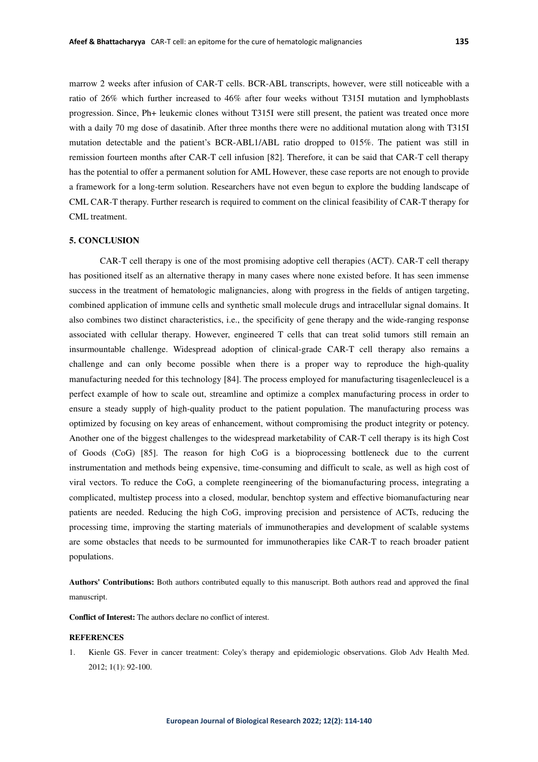marrow 2 weeks after infusion of CAR-T cells. BCR-ABL transcripts, however, were still noticeable with a ratio of 26% which further increased to 46% after four weeks without T315I mutation and lymphoblasts progression. Since, Ph+ leukemic clones without T315I were still present, the patient was treated once more with a daily 70 mg dose of dasatinib. After three months there were no additional mutation along with T315I mutation detectable and the patient's BCR-ABL1/ABL ratio dropped to 015%. The patient was still in remission fourteen months after CAR-T cell infusion [82]. Therefore, it can be said that CAR-T cell therapy has the potential to offer a permanent solution for AML However, these case reports are not enough to provide a framework for a long-term solution. Researchers have not even begun to explore the budding landscape of CML CAR-T therapy. Further research is required to comment on the clinical feasibility of CAR-T therapy for CML treatment.

## **5. CONCLUSION**

CAR-T cell therapy is one of the most promising adoptive cell therapies (ACT). CAR-T cell therapy has positioned itself as an alternative therapy in many cases where none existed before. It has seen immense success in the treatment of hematologic malignancies, along with progress in the fields of antigen targeting, combined application of immune cells and synthetic small molecule drugs and intracellular signal domains. It also combines two distinct characteristics, i.e., the specificity of gene therapy and the wide-ranging response associated with cellular therapy. However, engineered T cells that can treat solid tumors still remain an insurmountable challenge. Widespread adoption of clinical-grade CAR-T cell therapy also remains a challenge and can only become possible when there is a proper way to reproduce the high-quality manufacturing needed for this technology [84]. The process employed for manufacturing tisagenlecleucel is a perfect example of how to scale out, streamline and optimize a complex manufacturing process in order to ensure a steady supply of high-quality product to the patient population. The manufacturing process was optimized by focusing on key areas of enhancement, without compromising the product integrity or potency. Another one of the biggest challenges to the widespread marketability of CAR-T cell therapy is its high Cost of Goods (CoG) [85]. The reason for high CoG is a bioprocessing bottleneck due to the current instrumentation and methods being expensive, time-consuming and difficult to scale, as well as high cost of viral vectors. To reduce the CoG, a complete reengineering of the biomanufacturing process, integrating a complicated, multistep process into a closed, modular, benchtop system and effective biomanufacturing near patients are needed. Reducing the high CoG, improving precision and persistence of ACTs, reducing the processing time, improving the starting materials of immunotherapies and development of scalable systems are some obstacles that needs to be surmounted for immunotherapies like CAR-T to reach broader patient populations.

**Authors' Contributions:** Both authors contributed equally to this manuscript. Both authors read and approved the final manuscript.

**Conflict of Interest:** The authors declare no conflict of interest.

## **REFERENCES**

1. Kienle GS. Fever in cancer treatment: Coley's therapy and epidemiologic observations. Glob Adv Health Med. 2012; 1(1): 92-100.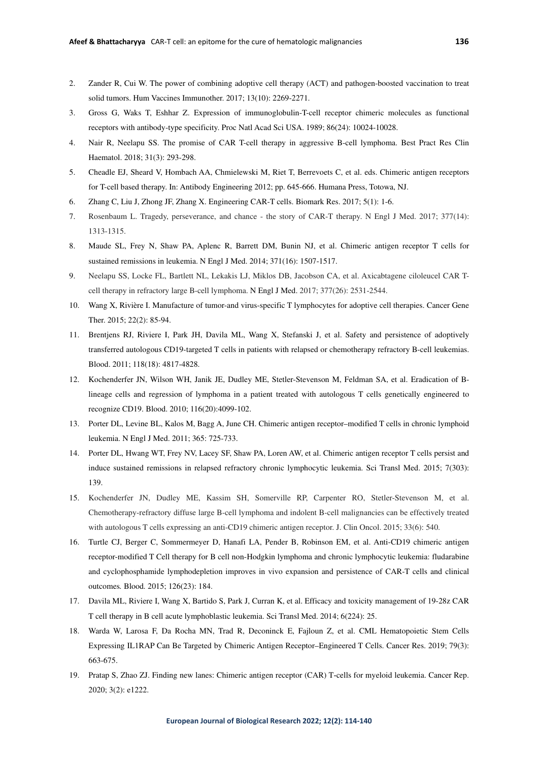- 2. Zander R, Cui W. The power of combining adoptive cell therapy (ACT) and pathogen-boosted vaccination to treat solid tumors. Hum Vaccines Immunother. 2017; 13(10): 2269-2271.
- 3. Gross G, Waks T, Eshhar Z. Expression of immunoglobulin-T-cell receptor chimeric molecules as functional receptors with antibody-type specificity. Proc Natl Acad Sci USA. 1989; 86(24): 10024-10028.
- 4. Nair R, Neelapu SS. The promise of CAR T-cell therapy in aggressive B-cell lymphoma. Best Pract Res Clin Haematol. 2018; 31(3): 293-298.
- 5. Cheadle EJ, Sheard V, Hombach AA, Chmielewski M, Riet T, Berrevoets C, et al. eds. Chimeric antigen receptors for T-cell based therapy. In: Antibody Engineering 2012; pp. 645-666. Humana Press, Totowa, NJ.
- 6. Zhang C, Liu J, Zhong JF, Zhang X. Engineering CAR-T cells. Biomark Res. 2017; 5(1): 1-6.
- 7. Rosenbaum L. Tragedy, perseverance, and chance the story of CAR-T therapy. N Engl J Med. 2017; 377(14): 1313-1315.
- 8. Maude SL, Frey N, Shaw PA, Aplenc R, Barrett DM, Bunin NJ, et al. Chimeric antigen receptor T cells for sustained remissions in leukemia. N Engl J Med. 2014; 371(16): 1507-1517.
- 9. Neelapu SS, Locke FL, Bartlett NL, Lekakis LJ, Miklos DB, Jacobson CA, et al. Axicabtagene ciloleucel CAR Tcell therapy in refractory large B-cell lymphoma. N Engl J Med. 2017; 377(26): 2531-2544.
- 10. Wang X, Rivière I. Manufacture of tumor-and virus-specific T lymphocytes for adoptive cell therapies. Cancer Gene Ther. 2015; 22(2): 85-94.
- 11. Brentjens RJ, Riviere I, Park JH, Davila ML, Wang X, Stefanski J, et al. Safety and persistence of adoptively transferred autologous CD19-targeted T cells in patients with relapsed or chemotherapy refractory B-cell leukemias. Blood. 2011; 118(18): 4817-4828.
- 12. Kochenderfer JN, Wilson WH, Janik JE, Dudley ME, Stetler-Stevenson M, Feldman SA, et al. Eradication of Blineage cells and regression of lymphoma in a patient treated with autologous T cells genetically engineered to recognize CD19. Blood. 2010; 116(20):4099-102.
- 13. Porter DL, Levine BL, Kalos M, Bagg A, June CH. Chimeric antigen receptor–modified T cells in chronic lymphoid leukemia. N Engl J Med. 2011; 365: 725-733.
- 14. Porter DL, Hwang WT, Frey NV, Lacey SF, Shaw PA, Loren AW, et al. Chimeric antigen receptor T cells persist and induce sustained remissions in relapsed refractory chronic lymphocytic leukemia. Sci Transl Med. 2015; 7(303): 139.
- 15. Kochenderfer JN, Dudley ME, Kassim SH, Somerville RP, Carpenter RO, Stetler-Stevenson M, et al. Chemotherapy-refractory diffuse large B-cell lymphoma and indolent B-cell malignancies can be effectively treated with autologous T cells expressing an anti-CD19 chimeric antigen receptor. J. Clin Oncol. 2015; 33(6): 540.
- 16. Turtle CJ, Berger C, Sommermeyer D, Hanafi LA, Pender B, Robinson EM, et al. Anti-CD19 chimeric antigen receptor-modified T Cell therapy for B cell non-Hodgkin lymphoma and chronic lymphocytic leukemia: fludarabine and cyclophosphamide lymphodepletion improves in vivo expansion and persistence of CAR-T cells and clinical outcomes*.* Blood*.* 2015; 126(23): 184.
- 17. Davila ML, Riviere I, Wang X, Bartido S, Park J, Curran K, et al. Efficacy and toxicity management of 19-28z CAR T cell therapy in B cell acute lymphoblastic leukemia. Sci Transl Med. 2014; 6(224): 25.
- 18. Warda W, Larosa F, Da Rocha MN, Trad R, Deconinck E, Fajloun Z, et al. CML Hematopoietic Stem Cells Expressing IL1RAP Can Be Targeted by Chimeric Antigen Receptor–Engineered T Cells. Cancer Res. 2019; 79(3): 663-675.
- 19. Pratap S, Zhao ZJ. Finding new lanes: Chimeric antigen receptor (CAR) T‐cells for myeloid leukemia. Cancer Rep. 2020; 3(2): e1222.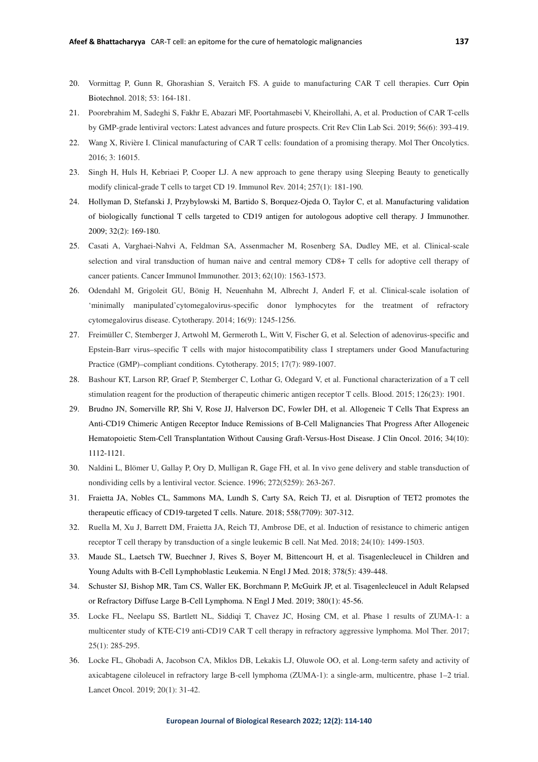- 20. Vormittag P, Gunn R, Ghorashian S, Veraitch FS. A guide to manufacturing CAR T cell therapies. Curr Opin Biotechnol. 2018; 53: 164-181.
- 21. Poorebrahim M, Sadeghi S, Fakhr E, Abazari MF, Poortahmasebi V, Kheirollahi, A, et al. Production of CAR T-cells by GMP-grade lentiviral vectors: Latest advances and future prospects. Crit Rev Clin Lab Sci. 2019; 56(6): 393-419.
- 22. Wang X, Rivière I. Clinical manufacturing of CAR T cells: foundation of a promising therapy. Mol Ther Oncolytics. 2016; 3: 16015.
- 23. Singh H, Huls H, Kebriaei P, Cooper LJ. A new approach to gene therapy using Sleeping Beauty to genetically modify clinical‐grade T cells to target CD 19. Immunol Rev. 2014; 257(1): 181-190.
- 24. Hollyman D, Stefanski J, Przybylowski M, Bartido S, Borquez-Ojeda O, Taylor C, et al. Manufacturing validation of biologically functional T cells targeted to CD19 antigen for autologous adoptive cell therapy. J Immunother. 2009; 32(2): 169-180.
- 25. Casati A, Varghaei-Nahvi A, Feldman SA, Assenmacher M, Rosenberg SA, Dudley ME, et al. Clinical-scale selection and viral transduction of human naive and central memory CD8+ T cells for adoptive cell therapy of cancer patients. Cancer Immunol Immunother. 2013; 62(10): 1563-1573.
- 26. Odendahl M, Grigoleit GU, Bönig H, Neuenhahn M, Albrecht J, Anderl F, et al. Clinical-scale isolation of 'minimally manipulated'cytomegalovirus-specific donor lymphocytes for the treatment of refractory cytomegalovirus disease. Cytotherapy. 2014; 16(9): 1245-1256.
- 27. Freimüller C, Stemberger J, Artwohl M, Germeroth L, Witt V, Fischer G, et al. Selection of adenovirus-specific and Epstein-Barr virus–specific T cells with major histocompatibility class I streptamers under Good Manufacturing Practice (GMP)–compliant conditions. Cytotherapy. 2015; 17(7): 989-1007.
- 28. Bashour KT, Larson RP, Graef P, Stemberger C, Lothar G, Odegard V, et al. Functional characterization of a T cell stimulation reagent for the production of therapeutic chimeric antigen receptor T cells. Blood. 2015; 126(23): 1901.
- 29. Brudno JN, Somerville RP, Shi V, Rose JJ, Halverson DC, Fowler DH, et al. Allogeneic T Cells That Express an Anti-CD19 Chimeric Antigen Receptor Induce Remissions of B-Cell Malignancies That Progress After Allogeneic Hematopoietic Stem-Cell Transplantation Without Causing Graft-Versus-Host Disease. J Clin Oncol. 2016; 34(10): 1112-1121.
- 30. Naldini L, Blömer U, Gallay P, Ory D, Mulligan R, Gage FH, et al. In vivo gene delivery and stable transduction of nondividing cells by a lentiviral vector. Science. 1996; 272(5259): 263-267.
- 31. Fraietta JA, Nobles CL, Sammons MA, Lundh S, Carty SA, Reich TJ, et al. Disruption of TET2 promotes the therapeutic efficacy of CD19-targeted T cells. Nature. 2018; 558(7709): 307-312.
- 32. Ruella M, Xu J, Barrett DM, Fraietta JA, Reich TJ, Ambrose DE, et al. Induction of resistance to chimeric antigen receptor T cell therapy by transduction of a single leukemic B cell. Nat Med. 2018; 24(10): 1499-1503.
- 33. Maude SL, Laetsch TW, Buechner J, Rives S, Boyer M, Bittencourt H, et al. Tisagenlecleucel in Children and Young Adults with B-Cell Lymphoblastic Leukemia. N Engl J Med. 2018; 378(5): 439-448.
- 34. Schuster SJ, Bishop MR, Tam CS, Waller EK, Borchmann P, McGuirk JP, et al. Tisagenlecleucel in Adult Relapsed or Refractory Diffuse Large B-Cell Lymphoma. N Engl J Med. 2019; 380(1): 45-56.
- 35. Locke FL, Neelapu SS, Bartlett NL, Siddiqi T, Chavez JC, Hosing CM, et al. Phase 1 results of ZUMA-1: a multicenter study of KTE-C19 anti-CD19 CAR T cell therapy in refractory aggressive lymphoma. Mol Ther. 2017; 25(1): 285-295.
- 36. Locke FL, Ghobadi A, Jacobson CA, Miklos DB, Lekakis LJ, Oluwole OO, et al. Long-term safety and activity of axicabtagene ciloleucel in refractory large B-cell lymphoma (ZUMA-1): a single-arm, multicentre, phase 1–2 trial. Lancet Oncol. 2019; 20(1): 31-42.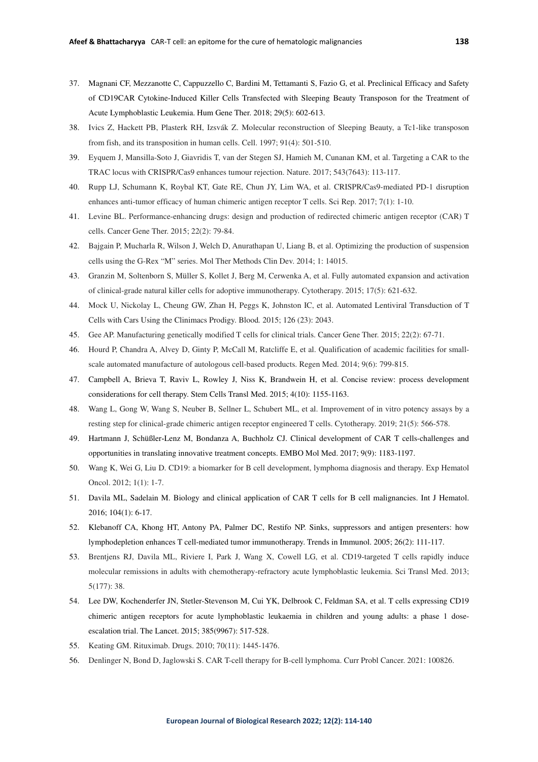- 37. Magnani CF, Mezzanotte C, Cappuzzello C, Bardini M, Tettamanti S, Fazio G, et al. Preclinical Efficacy and Safety of CD19CAR Cytokine-Induced Killer Cells Transfected with Sleeping Beauty Transposon for the Treatment of Acute Lymphoblastic Leukemia. Hum Gene Ther. 2018; 29(5): 602-613.
- 38. Ivics Z, Hackett PB, Plasterk RH, Izsvák Z. Molecular reconstruction of Sleeping Beauty, a Tc1-like transposon from fish, and its transposition in human cells. Cell. 1997; 91(4): 501-510.
- 39. Eyquem J, Mansilla-Soto J, Giavridis T, van der Stegen SJ, Hamieh M, Cunanan KM, et al. Targeting a CAR to the TRAC locus with CRISPR/Cas9 enhances tumour rejection. Nature. 2017; 543(7643): 113-117.
- 40. Rupp LJ, Schumann K, Roybal KT, Gate RE, Chun JY, Lim WA, et al. CRISPR/Cas9-mediated PD-1 disruption enhances anti-tumor efficacy of human chimeric antigen receptor T cells. Sci Rep. 2017; 7(1): 1-10.
- 41. Levine BL. Performance-enhancing drugs: design and production of redirected chimeric antigen receptor (CAR) T cells. Cancer Gene Ther. 2015; 22(2): 79-84.
- 42. Bajgain P, Mucharla R, Wilson J, Welch D, Anurathapan U, Liang B, et al. Optimizing the production of suspension cells using the G-Rex "M" series. Mol Ther Methods Clin Dev. 2014; 1: 14015.
- 43. Granzin M, Soltenborn S, Müller S, Kollet J, Berg M, Cerwenka A, et al. Fully automated expansion and activation of clinical-grade natural killer cells for adoptive immunotherapy. Cytotherapy. 2015; 17(5): 621-632.
- 44. Mock U, Nickolay L, Cheung GW, Zhan H, Peggs K, Johnston IC, et al. Automated Lentiviral Transduction of T Cells with Cars Using the Clinimacs Prodigy. Blood*.* 2015; 126 (23): 2043.
- 45. Gee AP. Manufacturing genetically modified T cells for clinical trials. Cancer Gene Ther. 2015; 22(2): 67-71.
- 46. Hourd P, Chandra A, Alvey D, Ginty P, McCall M, Ratcliffe E, et al. Qualification of academic facilities for smallscale automated manufacture of autologous cell-based products. Regen Med. 2014; 9(6): 799-815.
- 47. Campbell A, Brieva T, Raviv L, Rowley J, Niss K, Brandwein H, et al. Concise review: process development considerations for cell therapy. Stem Cells Transl Med. 2015; 4(10): 1155-1163.
- 48. Wang L, Gong W, Wang S, Neuber B, Sellner L, Schubert ML, et al. Improvement of in vitro potency assays by a resting step for clinical-grade chimeric antigen receptor engineered T cells. Cytotherapy. 2019; 21(5): 566-578.
- 49. Hartmann J, Schüßler‐Lenz M, Bondanza A, Buchholz CJ. Clinical development of CAR T cells-challenges and opportunities in translating innovative treatment concepts. EMBO Mol Med. 2017; 9(9): 1183-1197.
- 50. Wang K, Wei G, Liu D. CD19: a biomarker for B cell development, lymphoma diagnosis and therapy. Exp Hematol Oncol. 2012; 1(1): 1-7.
- 51. Davila ML, Sadelain M. Biology and clinical application of CAR T cells for B cell malignancies. Int J Hematol. 2016; 104(1): 6-17.
- 52. Klebanoff CA, Khong HT, Antony PA, Palmer DC, Restifo NP. Sinks, suppressors and antigen presenters: how lymphodepletion enhances T cell-mediated tumor immunotherapy. Trends in Immunol. 2005; 26(2): 111-117.
- 53. Brentjens RJ, Davila ML, Riviere I, Park J, Wang X, Cowell LG, et al. CD19-targeted T cells rapidly induce molecular remissions in adults with chemotherapy-refractory acute lymphoblastic leukemia. Sci Transl Med. 2013; 5(177): 38.
- 54. Lee DW, Kochenderfer JN, Stetler-Stevenson M, Cui YK, Delbrook C, Feldman SA, et al. T cells expressing CD19 chimeric antigen receptors for acute lymphoblastic leukaemia in children and young adults: a phase 1 doseescalation trial. The Lancet. 2015; 385(9967): 517-528.
- 55. Keating GM. Rituximab. Drugs. 2010; 70(11): 1445-1476.
- 56. Denlinger N, Bond D, Jaglowski S. CAR T-cell therapy for B-cell lymphoma. Curr Probl Cancer. 2021: 100826.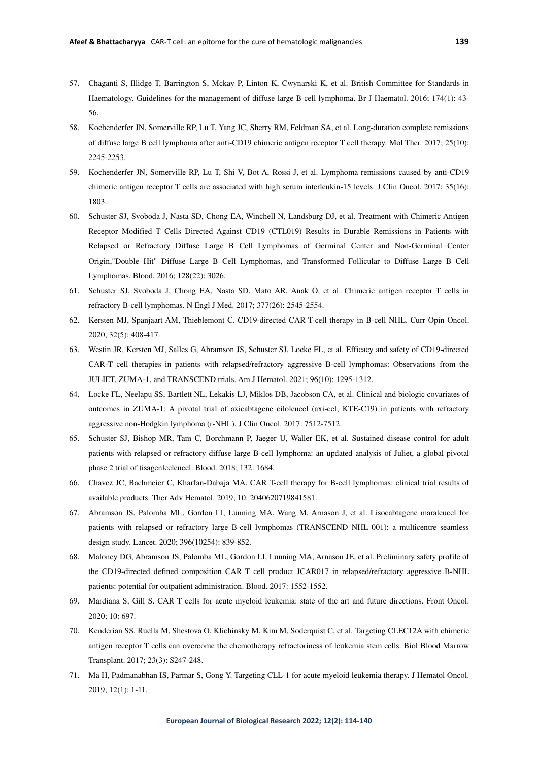- 57. Chaganti S, Illidge T, Barrington S, Mckay P, Linton K, Cwynarski K, et al. British Committee for Standards in Haematology. Guidelines for the management of diffuse large B-cell lymphoma. Br J Haematol. 2016; 174(1): 43- 56.
- 58. Kochenderfer JN, Somerville RP, Lu T, Yang JC, Sherry RM, Feldman SA, et al. Long-duration complete remissions of diffuse large B cell lymphoma after anti-CD19 chimeric antigen receptor T cell therapy. Mol Ther. 2017; 25(10): 2245-2253.
- 59. Kochenderfer JN, Somerville RP, Lu T, Shi V, Bot A, Rossi J, et al. Lymphoma remissions caused by anti-CD19 chimeric antigen receptor T cells are associated with high serum interleukin-15 levels. J Clin Oncol. 2017; 35(16): 1803.
- 60. Schuster SJ, Svoboda J, Nasta SD, Chong EA, Winchell N, Landsburg DJ, et al. Treatment with Chimeric Antigen Receptor Modified T Cells Directed Against CD19 (CTL019) Results in Durable Remissions in Patients with Relapsed or Refractory Diffuse Large B Cell Lymphomas of Germinal Center and Non-Germinal Center Origin,"Double Hit" Diffuse Large B Cell Lymphomas, and Transformed Follicular to Diffuse Large B Cell Lymphomas. Blood. 2016; 128(22): 3026.
- 61. Schuster SJ, Svoboda J, Chong EA, Nasta SD, Mato AR, Anak Ö, et al. Chimeric antigen receptor T cells in refractory B-cell lymphomas. N Engl J Med. 2017; 377(26): 2545-2554.
- 62. Kersten MJ, Spanjaart AM, Thieblemont C. CD19-directed CAR T-cell therapy in B-cell NHL. Curr Opin Oncol. 2020; 32(5): 408-417.
- 63. Westin JR, Kersten MJ, Salles G, Abramson JS, Schuster SJ, Locke FL, et al. Efficacy and safety of CD19‐directed CAR‐T cell therapies in patients with relapsed/refractory aggressive B‐cell lymphomas: Observations from the JULIET, ZUMA‐1, and TRANSCEND trials. Am J Hematol. 2021; 96(10): 1295-1312.
- 64. Locke FL, Neelapu SS, Bartlett NL, Lekakis LJ, Miklos DB, Jacobson CA, et al. Clinical and biologic covariates of outcomes in ZUMA-1: A pivotal trial of axicabtagene ciloleucel (axi-cel; KTE-C19) in patients with refractory aggressive non-Hodgkin lymphoma (r-NHL). J Clin Oncol. 2017: 7512-7512.
- 65. Schuster SJ, Bishop MR, Tam C, Borchmann P, Jaeger U, Waller EK, et al. Sustained disease control for adult patients with relapsed or refractory diffuse large B-cell lymphoma: an updated analysis of Juliet, a global pivotal phase 2 trial of tisagenlecleucel. Blood. 2018; 132: 1684.
- 66. Chavez JC, Bachmeier C, Kharfan-Dabaja MA. CAR T-cell therapy for B-cell lymphomas: clinical trial results of available products. Ther Adv Hematol. 2019; 10: 2040620719841581.
- 67. Abramson JS, Palomba ML, Gordon LI, Lunning MA, Wang M, Arnason J, et al. Lisocabtagene maraleucel for patients with relapsed or refractory large B-cell lymphomas (TRANSCEND NHL 001): a multicentre seamless design study. Lancet. 2020; 396(10254): 839-852.
- 68. Maloney DG, Abramson JS, Palomba ML, Gordon LI, Lunning MA, Arnason JE, et al. Preliminary safety profile of the CD19-directed defined composition CAR T cell product JCAR017 in relapsed/refractory aggressive B-NHL patients: potential for outpatient administration. Blood. 2017: 1552-1552.
- 69. Mardiana S, Gill S. CAR T cells for acute myeloid leukemia: state of the art and future directions. Front Oncol. 2020; 10: 697.
- 70. Kenderian SS, Ruella M, Shestova O, Klichinsky M, Kim M, Soderquist C, et al. Targeting CLEC12A with chimeric antigen receptor T cells can overcome the chemotherapy refractoriness of leukemia stem cells. Biol Blood Marrow Transplant. 2017; 23(3): S247-248.
- 71. Ma H, Padmanabhan IS, Parmar S, Gong Y. Targeting CLL-1 for acute myeloid leukemia therapy. J Hematol Oncol. 2019; 12(1): 1-11.